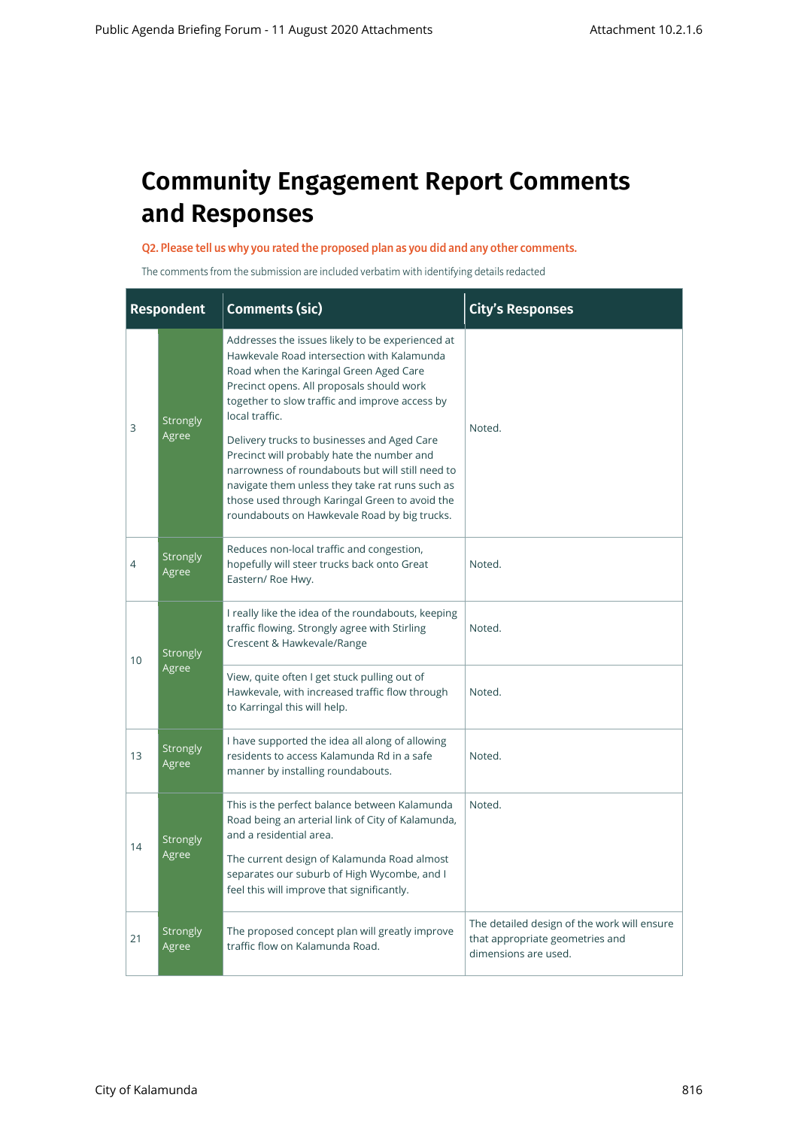# **Community Engagement Report Comments and Responses**

#### Q2. Please tell us why you rated the proposed plan as you did and any other comments.

The comments from the submission are included verbatim with identifying details redacted

|                 | <b>Respondent</b>                                                                                                                                                                                                                                                                                                                                                                                                                                                                                                                                                                                                                                                                                                                                                                                                                                                                           | <b>Comments (sic)</b>                                            | <b>City's Responses</b>                                                                                |
|-----------------|---------------------------------------------------------------------------------------------------------------------------------------------------------------------------------------------------------------------------------------------------------------------------------------------------------------------------------------------------------------------------------------------------------------------------------------------------------------------------------------------------------------------------------------------------------------------------------------------------------------------------------------------------------------------------------------------------------------------------------------------------------------------------------------------------------------------------------------------------------------------------------------------|------------------------------------------------------------------|--------------------------------------------------------------------------------------------------------|
| 3               | Addresses the issues likely to be experienced at<br>Hawkevale Road intersection with Kalamunda<br>Road when the Karingal Green Aged Care<br>Precinct opens. All proposals should work<br>together to slow traffic and improve access by<br>local traffic.<br><b>Strongly</b><br>Noted.<br>Agree<br>Delivery trucks to businesses and Aged Care<br>Precinct will probably hate the number and<br>narrowness of roundabouts but will still need to<br>navigate them unless they take rat runs such as<br>those used through Karingal Green to avoid the<br>roundabouts on Hawkevale Road by big trucks.<br>Reduces non-local traffic and congestion,                                                                                                                                                                                                                                          |                                                                  |                                                                                                        |
| 4               | <b>Strongly</b><br>Agree                                                                                                                                                                                                                                                                                                                                                                                                                                                                                                                                                                                                                                                                                                                                                                                                                                                                    | hopefully will steer trucks back onto Great<br>Eastern/ Roe Hwy. | Noted.                                                                                                 |
| 10 <sup>1</sup> | I really like the idea of the roundabouts, keeping<br>traffic flowing. Strongly agree with Stirling<br>Crescent & Hawkevale/Range<br><b>Strongly</b><br>Agree<br>View, quite often I get stuck pulling out of<br>Hawkevale, with increased traffic flow through<br>to Karringal this will help.<br>I have supported the idea all along of allowing<br><b>Strongly</b><br>residents to access Kalamunda Rd in a safe<br>Agree<br>manner by installing roundabouts.<br>This is the perfect balance between Kalamunda<br>Road being an arterial link of City of Kalamunda,<br>and a residential area.<br><b>Strongly</b><br>Agree<br>The current design of Kalamunda Road almost<br>separates our suburb of High Wycombe, and I<br>feel this will improve that significantly.<br>The proposed concept plan will greatly improve<br><b>Strongly</b><br>traffic flow on Kalamunda Road.<br>Agree |                                                                  | Noted.                                                                                                 |
|                 |                                                                                                                                                                                                                                                                                                                                                                                                                                                                                                                                                                                                                                                                                                                                                                                                                                                                                             | Noted.                                                           |                                                                                                        |
| 13              |                                                                                                                                                                                                                                                                                                                                                                                                                                                                                                                                                                                                                                                                                                                                                                                                                                                                                             |                                                                  | Noted.                                                                                                 |
| 14              |                                                                                                                                                                                                                                                                                                                                                                                                                                                                                                                                                                                                                                                                                                                                                                                                                                                                                             |                                                                  | Noted.                                                                                                 |
|                 |                                                                                                                                                                                                                                                                                                                                                                                                                                                                                                                                                                                                                                                                                                                                                                                                                                                                                             |                                                                  |                                                                                                        |
| 21              |                                                                                                                                                                                                                                                                                                                                                                                                                                                                                                                                                                                                                                                                                                                                                                                                                                                                                             |                                                                  | The detailed design of the work will ensure<br>that appropriate geometries and<br>dimensions are used. |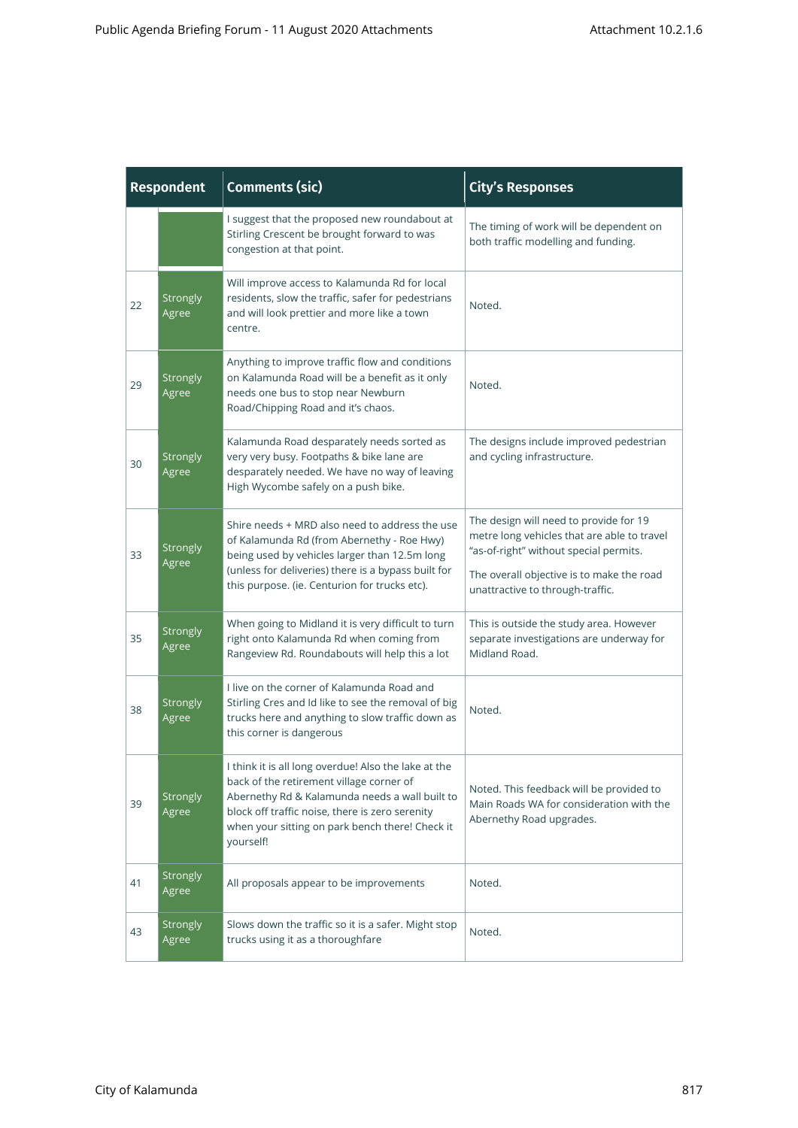| <b>Respondent</b> |                   | <b>Comments (sic)</b>                                                                                                                                                                                                                                                 | <b>City's Responses</b>                                                                                                                                                                                          |
|-------------------|-------------------|-----------------------------------------------------------------------------------------------------------------------------------------------------------------------------------------------------------------------------------------------------------------------|------------------------------------------------------------------------------------------------------------------------------------------------------------------------------------------------------------------|
|                   |                   | I suggest that the proposed new roundabout at<br>Stirling Crescent be brought forward to was<br>congestion at that point.                                                                                                                                             | The timing of work will be dependent on<br>both traffic modelling and funding.                                                                                                                                   |
| 22                | Strongly<br>Agree | Will improve access to Kalamunda Rd for local<br>residents, slow the traffic, safer for pedestrians<br>and will look prettier and more like a town<br>centre.                                                                                                         | Noted.                                                                                                                                                                                                           |
| 29                | Strongly<br>Agree | Anything to improve traffic flow and conditions<br>on Kalamunda Road will be a benefit as it only<br>needs one bus to stop near Newburn<br>Road/Chipping Road and it's chaos.                                                                                         | Noted.                                                                                                                                                                                                           |
| 30                | Strongly<br>Agree | Kalamunda Road desparately needs sorted as<br>very very busy. Footpaths & bike lane are<br>desparately needed. We have no way of leaving<br>High Wycombe safely on a push bike.                                                                                       | The designs include improved pedestrian<br>and cycling infrastructure.                                                                                                                                           |
| 33                | Strongly<br>Agree | Shire needs + MRD also need to address the use<br>of Kalamunda Rd (from Abernethy - Roe Hwy)<br>being used by vehicles larger than 12.5m long<br>(unless for deliveries) there is a bypass built for<br>this purpose. (ie. Centurion for trucks etc).                 | The design will need to provide for 19<br>metre long vehicles that are able to travel<br>"as-of-right" without special permits.<br>The overall objective is to make the road<br>unattractive to through-traffic. |
| 35                | Strongly<br>Agree | When going to Midland it is very difficult to turn<br>right onto Kalamunda Rd when coming from<br>Rangeview Rd. Roundabouts will help this a lot                                                                                                                      | This is outside the study area. However<br>separate investigations are underway for<br>Midland Road.                                                                                                             |
| 38                | Strongly<br>Agree | I live on the corner of Kalamunda Road and<br>Stirling Cres and Id like to see the removal of big<br>trucks here and anything to slow traffic down as<br>this corner is dangerous                                                                                     | Noted.                                                                                                                                                                                                           |
| 39                | Strongly<br>Agree | I think it is all long overdue! Also the lake at the<br>back of the retirement village corner of<br>Abernethy Rd & Kalamunda needs a wall built to<br>block off traffic noise, there is zero serenity<br>when your sitting on park bench there! Check it<br>yourself! | Noted. This feedback will be provided to<br>Main Roads WA for consideration with the<br>Abernethy Road upgrades.                                                                                                 |
| 41                | Strongly<br>Agree | All proposals appear to be improvements                                                                                                                                                                                                                               | Noted.                                                                                                                                                                                                           |
| 43                | Strongly<br>Agree | Slows down the traffic so it is a safer. Might stop<br>trucks using it as a thoroughfare                                                                                                                                                                              | Noted.                                                                                                                                                                                                           |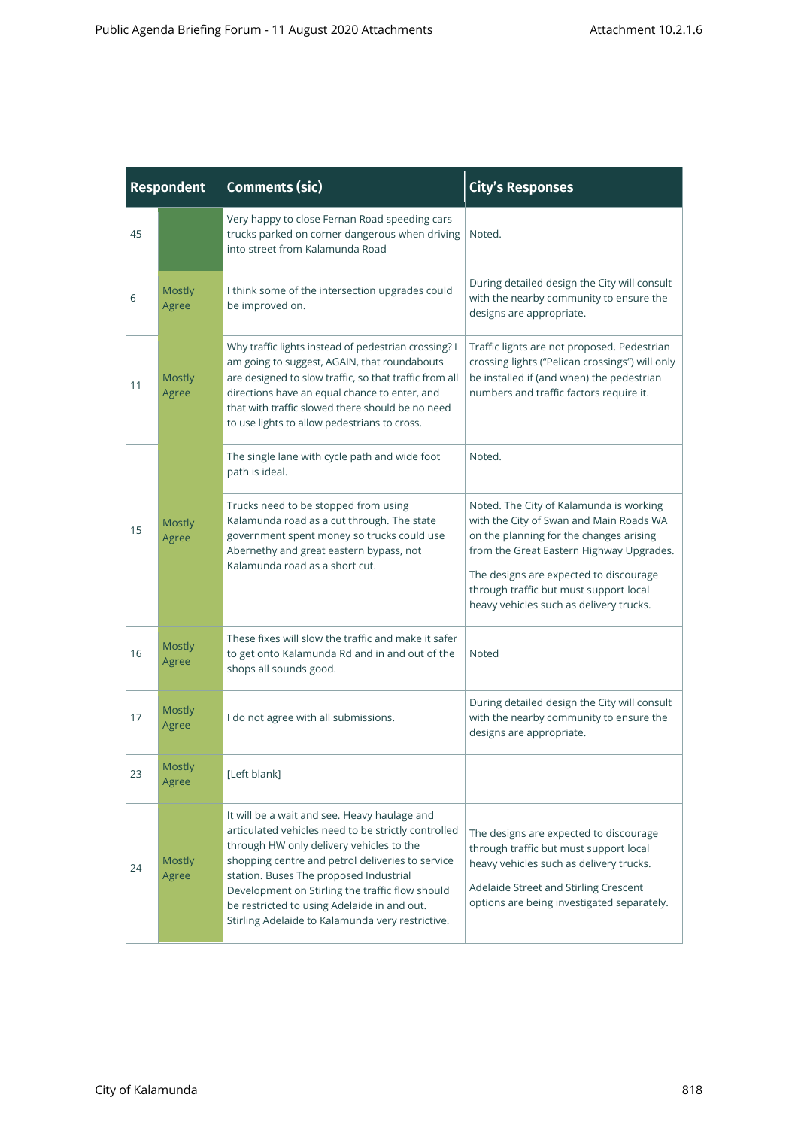| <b>Respondent</b> |                                                                                              | <b>Comments (sic)</b>                                                                                                                                                                                                                                                                                                                                                                               | <b>City's Responses</b>                                                                                                                                                                                                                                                                                  |
|-------------------|----------------------------------------------------------------------------------------------|-----------------------------------------------------------------------------------------------------------------------------------------------------------------------------------------------------------------------------------------------------------------------------------------------------------------------------------------------------------------------------------------------------|----------------------------------------------------------------------------------------------------------------------------------------------------------------------------------------------------------------------------------------------------------------------------------------------------------|
| 45                |                                                                                              | Very happy to close Fernan Road speeding cars<br>trucks parked on corner dangerous when driving<br>into street from Kalamunda Road                                                                                                                                                                                                                                                                  | Noted.                                                                                                                                                                                                                                                                                                   |
| 6                 | <b>Mostly</b><br>I think some of the intersection upgrades could<br>be improved on.<br>Agree |                                                                                                                                                                                                                                                                                                                                                                                                     | During detailed design the City will consult<br>with the nearby community to ensure the<br>designs are appropriate.                                                                                                                                                                                      |
| 11                | <b>Mostly</b><br>Agree                                                                       | Why traffic lights instead of pedestrian crossing? I<br>am going to suggest, AGAIN, that roundabouts<br>are designed to slow traffic, so that traffic from all<br>directions have an equal chance to enter, and<br>that with traffic slowed there should be no need<br>to use lights to allow pedestrians to cross.                                                                                 | Traffic lights are not proposed. Pedestrian<br>crossing lights ("Pelican crossings") will only<br>be installed if (and when) the pedestrian<br>numbers and traffic factors require it.                                                                                                                   |
|                   |                                                                                              | The single lane with cycle path and wide foot<br>path is ideal.                                                                                                                                                                                                                                                                                                                                     | Noted.                                                                                                                                                                                                                                                                                                   |
| 15                | <b>Mostly</b><br>Agree                                                                       | Trucks need to be stopped from using<br>Kalamunda road as a cut through. The state<br>government spent money so trucks could use<br>Abernethy and great eastern bypass, not<br>Kalamunda road as a short cut.                                                                                                                                                                                       | Noted. The City of Kalamunda is working<br>with the City of Swan and Main Roads WA<br>on the planning for the changes arising<br>from the Great Eastern Highway Upgrades.<br>The designs are expected to discourage<br>through traffic but must support local<br>heavy vehicles such as delivery trucks. |
| 16                | Mostly<br>Agree                                                                              | These fixes will slow the traffic and make it safer<br>to get onto Kalamunda Rd and in and out of the<br>shops all sounds good.                                                                                                                                                                                                                                                                     | Noted                                                                                                                                                                                                                                                                                                    |
| 17                | <b>Mostly</b><br>Agree                                                                       | I do not agree with all submissions.                                                                                                                                                                                                                                                                                                                                                                | During detailed design the City will consult<br>with the nearby community to ensure the<br>designs are appropriate.                                                                                                                                                                                      |
| 23                | Mostly<br>Agree                                                                              | [Left blank]                                                                                                                                                                                                                                                                                                                                                                                        |                                                                                                                                                                                                                                                                                                          |
| 24                | <b>Mostly</b><br>Agree                                                                       | It will be a wait and see. Heavy haulage and<br>articulated vehicles need to be strictly controlled<br>through HW only delivery vehicles to the<br>shopping centre and petrol deliveries to service<br>station. Buses The proposed Industrial<br>Development on Stirling the traffic flow should<br>be restricted to using Adelaide in and out.<br>Stirling Adelaide to Kalamunda very restrictive. | The designs are expected to discourage<br>through traffic but must support local<br>heavy vehicles such as delivery trucks.<br>Adelaide Street and Stirling Crescent<br>options are being investigated separately.                                                                                       |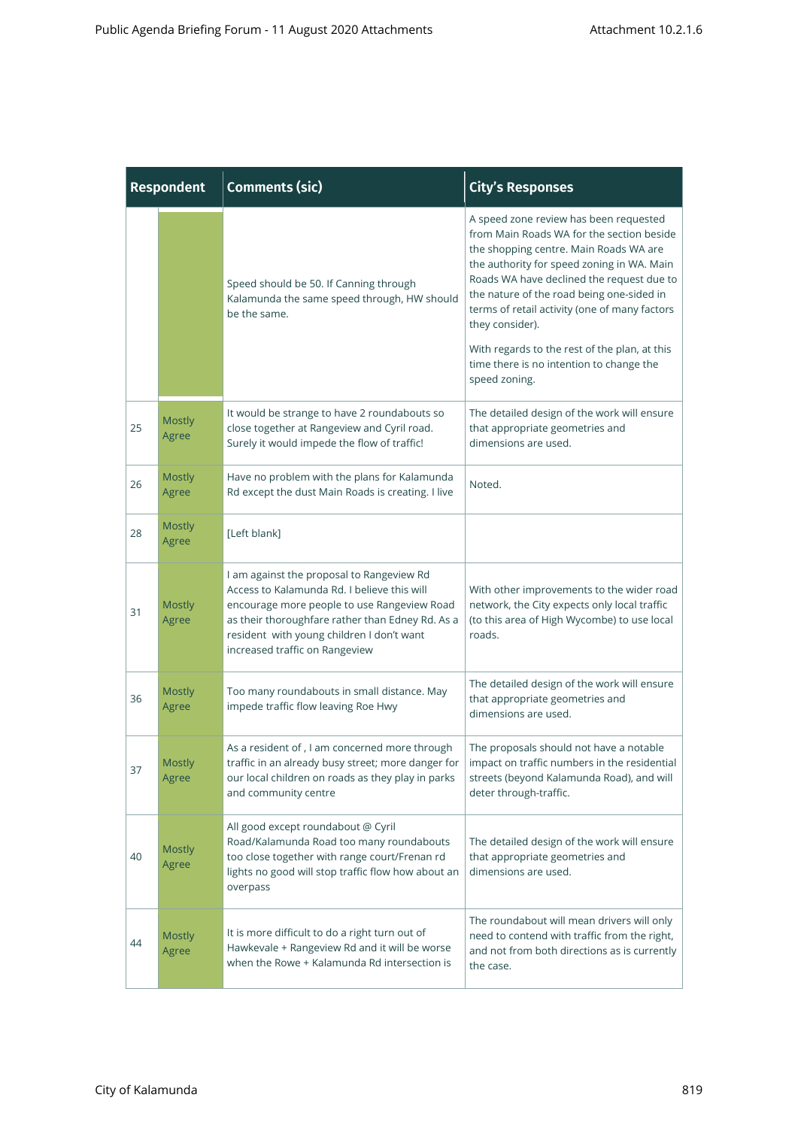| <b>Respondent</b> |                        | <b>Comments (sic)</b>                                                                                                                                                                                                                                                      | <b>City's Responses</b>                                                                                                                                                                                                                                                                                                                                                                                                                                 |  |
|-------------------|------------------------|----------------------------------------------------------------------------------------------------------------------------------------------------------------------------------------------------------------------------------------------------------------------------|---------------------------------------------------------------------------------------------------------------------------------------------------------------------------------------------------------------------------------------------------------------------------------------------------------------------------------------------------------------------------------------------------------------------------------------------------------|--|
|                   |                        | Speed should be 50. If Canning through<br>Kalamunda the same speed through, HW should<br>be the same.                                                                                                                                                                      | A speed zone review has been requested<br>from Main Roads WA for the section beside<br>the shopping centre. Main Roads WA are<br>the authority for speed zoning in WA. Main<br>Roads WA have declined the request due to<br>the nature of the road being one-sided in<br>terms of retail activity (one of many factors<br>they consider).<br>With regards to the rest of the plan, at this<br>time there is no intention to change the<br>speed zoning. |  |
| 25                | <b>Mostly</b><br>Agree | It would be strange to have 2 roundabouts so<br>close together at Rangeview and Cyril road.<br>Surely it would impede the flow of traffic!                                                                                                                                 | The detailed design of the work will ensure<br>that appropriate geometries and<br>dimensions are used.                                                                                                                                                                                                                                                                                                                                                  |  |
| 26                | <b>Mostly</b><br>Agree | Have no problem with the plans for Kalamunda<br>Rd except the dust Main Roads is creating. I live                                                                                                                                                                          | Noted.                                                                                                                                                                                                                                                                                                                                                                                                                                                  |  |
| 28                | <b>Mostly</b><br>Agree | [Left blank]                                                                                                                                                                                                                                                               |                                                                                                                                                                                                                                                                                                                                                                                                                                                         |  |
| 31                | <b>Mostly</b><br>Agree | I am against the proposal to Rangeview Rd<br>Access to Kalamunda Rd. I believe this will<br>encourage more people to use Rangeview Road<br>as their thoroughfare rather than Edney Rd. As a<br>resident with young children I don't want<br>increased traffic on Rangeview | With other improvements to the wider road<br>network, the City expects only local traffic<br>(to this area of High Wycombe) to use local<br>roads.                                                                                                                                                                                                                                                                                                      |  |
| 36                | <b>Mostly</b><br>Agree | Too many roundabouts in small distance. May<br>impede traffic flow leaving Roe Hwy                                                                                                                                                                                         | The detailed design of the work will ensure<br>that appropriate geometries and<br>dimensions are used.                                                                                                                                                                                                                                                                                                                                                  |  |
| 37                | Mostly<br>Agree        | As a resident of, I am concerned more through<br>traffic in an already busy street; more danger for $ $ impact on traffic numbers in the residential<br>our local children on roads as they play in parks<br>and community centre                                          | The proposals should not have a notable<br>streets (beyond Kalamunda Road), and will<br>deter through-traffic.                                                                                                                                                                                                                                                                                                                                          |  |
| 40                | <b>Mostly</b><br>Agree | All good except roundabout @ Cyril<br>Road/Kalamunda Road too many roundabouts<br>too close together with range court/Frenan rd<br>lights no good will stop traffic flow how about an<br>overpass                                                                          | The detailed design of the work will ensure<br>that appropriate geometries and<br>dimensions are used.                                                                                                                                                                                                                                                                                                                                                  |  |
| 44                | <b>Mostly</b><br>Agree | It is more difficult to do a right turn out of<br>Hawkevale + Rangeview Rd and it will be worse<br>when the Rowe + Kalamunda Rd intersection is                                                                                                                            | The roundabout will mean drivers will only<br>need to contend with traffic from the right,<br>and not from both directions as is currently<br>the case.                                                                                                                                                                                                                                                                                                 |  |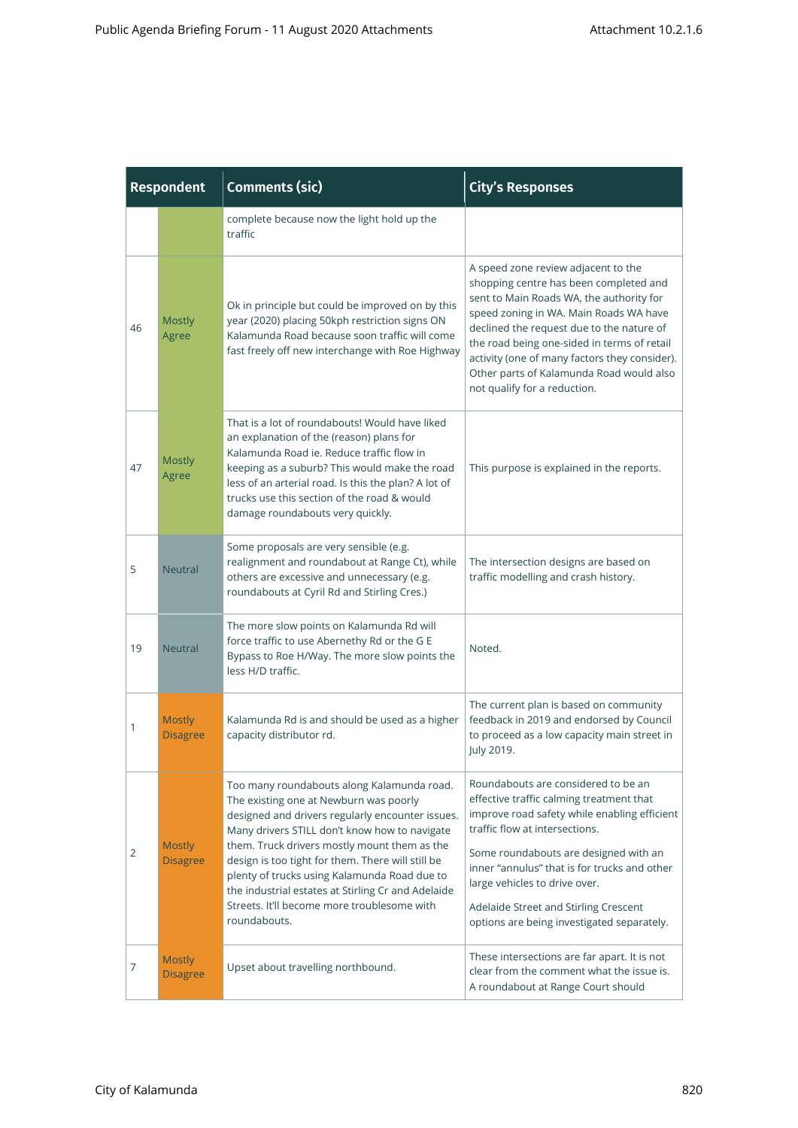|    | <b>Respondent</b>                | <b>Comments (sic)</b>                                                                                                                                                                                                                                                                                                                                                                                                                                               | <b>City's Responses</b>                                                                                                                                                                                                                                                                                                                                                                      |
|----|----------------------------------|---------------------------------------------------------------------------------------------------------------------------------------------------------------------------------------------------------------------------------------------------------------------------------------------------------------------------------------------------------------------------------------------------------------------------------------------------------------------|----------------------------------------------------------------------------------------------------------------------------------------------------------------------------------------------------------------------------------------------------------------------------------------------------------------------------------------------------------------------------------------------|
|    |                                  | complete because now the light hold up the<br>traffic                                                                                                                                                                                                                                                                                                                                                                                                               |                                                                                                                                                                                                                                                                                                                                                                                              |
| 46 | <b>Mostly</b><br>Agree           | Ok in principle but could be improved on by this<br>year (2020) placing 50kph restriction signs ON<br>Kalamunda Road because soon traffic will come<br>fast freely off new interchange with Roe Highway                                                                                                                                                                                                                                                             | A speed zone review adjacent to the<br>shopping centre has been completed and<br>sent to Main Roads WA, the authority for<br>speed zoning in WA. Main Roads WA have<br>declined the request due to the nature of<br>the road being one-sided in terms of retail<br>activity (one of many factors they consider).<br>Other parts of Kalamunda Road would also<br>not qualify for a reduction. |
| 47 | <b>Mostly</b><br>Agree           | That is a lot of roundabouts! Would have liked<br>an explanation of the (reason) plans for<br>Kalamunda Road ie. Reduce traffic flow in<br>keeping as a suburb? This would make the road<br>less of an arterial road. Is this the plan? A lot of<br>trucks use this section of the road & would<br>damage roundabouts very quickly.                                                                                                                                 | This purpose is explained in the reports.                                                                                                                                                                                                                                                                                                                                                    |
| 5  | <b>Neutral</b>                   | Some proposals are very sensible (e.g.<br>realignment and roundabout at Range Ct), while<br>others are excessive and unnecessary (e.g.<br>roundabouts at Cyril Rd and Stirling Cres.)                                                                                                                                                                                                                                                                               | The intersection designs are based on<br>traffic modelling and crash history.                                                                                                                                                                                                                                                                                                                |
| 19 | <b>Neutral</b>                   | The more slow points on Kalamunda Rd will<br>force traffic to use Abernethy Rd or the G E<br>Bypass to Roe H/Way. The more slow points the<br>less H/D traffic.                                                                                                                                                                                                                                                                                                     | Noted.                                                                                                                                                                                                                                                                                                                                                                                       |
| 1  | <b>Mostly</b><br><b>Disagree</b> | Kalamunda Rd is and should be used as a higher<br>capacity distributor rd.                                                                                                                                                                                                                                                                                                                                                                                          | The current plan is based on community<br>feedback in 2019 and endorsed by Council<br>to proceed as a low capacity main street in<br>July 2019.                                                                                                                                                                                                                                              |
| 2  | <b>Mostly</b><br><b>Disagree</b> | Too many roundabouts along Kalamunda road.<br>The existing one at Newburn was poorly<br>designed and drivers regularly encounter issues.<br>Many drivers STILL don't know how to navigate<br>them. Truck drivers mostly mount them as the<br>design is too tight for them. There will still be<br>plenty of trucks using Kalamunda Road due to<br>the industrial estates at Stirling Cr and Adelaide<br>Streets. It'll become more troublesome with<br>roundabouts. | Roundabouts are considered to be an<br>effective traffic calming treatment that<br>improve road safety while enabling efficient<br>traffic flow at intersections.<br>Some roundabouts are designed with an<br>inner "annulus" that is for trucks and other<br>large vehicles to drive over.<br>Adelaide Street and Stirling Crescent<br>options are being investigated separately.           |
| 7  | <b>Mostly</b><br><b>Disagree</b> | Upset about travelling northbound.                                                                                                                                                                                                                                                                                                                                                                                                                                  | These intersections are far apart. It is not<br>clear from the comment what the issue is.<br>A roundabout at Range Court should                                                                                                                                                                                                                                                              |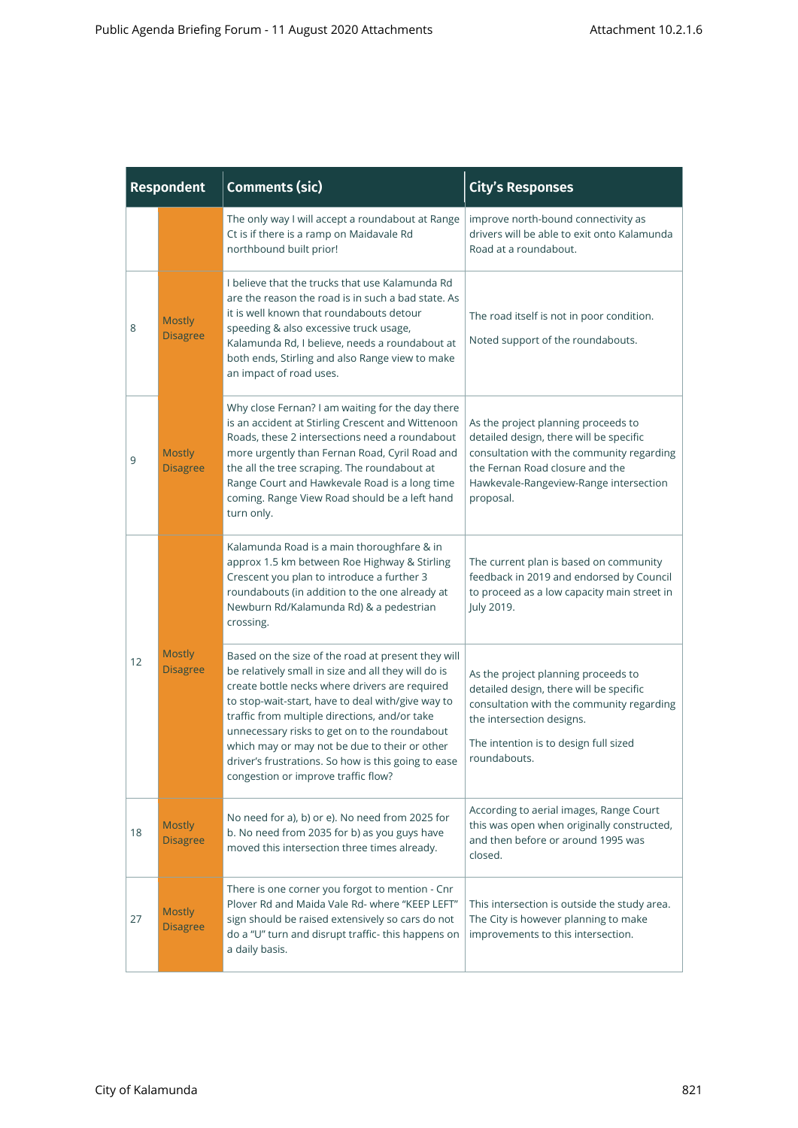| <b>Respondent</b> |                                  | <b>Comments (sic)</b>                                                                                                                                                                                                                                                                                                                                                                                                                                             | <b>City's Responses</b>                                                                                                                                                                                               |
|-------------------|----------------------------------|-------------------------------------------------------------------------------------------------------------------------------------------------------------------------------------------------------------------------------------------------------------------------------------------------------------------------------------------------------------------------------------------------------------------------------------------------------------------|-----------------------------------------------------------------------------------------------------------------------------------------------------------------------------------------------------------------------|
|                   |                                  | The only way I will accept a roundabout at Range<br>Ct is if there is a ramp on Maidavale Rd<br>northbound built prior!                                                                                                                                                                                                                                                                                                                                           | improve north-bound connectivity as<br>drivers will be able to exit onto Kalamunda<br>Road at a roundabout.                                                                                                           |
| 8                 | <b>Mostly</b><br><b>Disagree</b> | I believe that the trucks that use Kalamunda Rd<br>are the reason the road is in such a bad state. As<br>it is well known that roundabouts detour<br>speeding & also excessive truck usage,<br>Kalamunda Rd, I believe, needs a roundabout at<br>both ends, Stirling and also Range view to make<br>an impact of road uses.                                                                                                                                       | The road itself is not in poor condition.<br>Noted support of the roundabouts.                                                                                                                                        |
| 9                 | <b>Mostly</b><br><b>Disagree</b> | Why close Fernan? I am waiting for the day there<br>is an accident at Stirling Crescent and Wittenoon<br>Roads, these 2 intersections need a roundabout<br>more urgently than Fernan Road, Cyril Road and<br>the all the tree scraping. The roundabout at<br>Range Court and Hawkevale Road is a long time<br>coming. Range View Road should be a left hand<br>turn only.                                                                                         | As the project planning proceeds to<br>detailed design, there will be specific<br>consultation with the community regarding<br>the Fernan Road closure and the<br>Hawkevale-Rangeview-Range intersection<br>proposal. |
|                   |                                  | Kalamunda Road is a main thoroughfare & in<br>approx 1.5 km between Roe Highway & Stirling<br>Crescent you plan to introduce a further 3<br>roundabouts (in addition to the one already at<br>Newburn Rd/Kalamunda Rd) & a pedestrian<br>crossing.                                                                                                                                                                                                                | The current plan is based on community<br>feedback in 2019 and endorsed by Council<br>to proceed as a low capacity main street in<br>July 2019.                                                                       |
| 12                | <b>Mostly</b><br><b>Disagree</b> | Based on the size of the road at present they will<br>be relatively small in size and all they will do is<br>create bottle necks where drivers are required<br>to stop-wait-start, have to deal with/give way to<br>traffic from multiple directions, and/or take<br>unnecessary risks to get on to the roundabout<br>which may or may not be due to their or other<br>driver's frustrations. So how is this going to ease<br>congestion or improve traffic flow? | As the project planning proceeds to<br>detailed design, there will be specific<br>consultation with the community regarding<br>the intersection designs.<br>The intention is to design full sized<br>roundabouts.     |
| 18                | <b>Mostly</b><br><b>Disagree</b> | No need for a), b) or e). No need from 2025 for<br>b. No need from 2035 for b) as you guys have<br>moved this intersection three times already.                                                                                                                                                                                                                                                                                                                   | According to aerial images, Range Court<br>this was open when originally constructed,<br>and then before or around 1995 was<br>closed.                                                                                |
| 27                | <b>Mostly</b><br><b>Disagree</b> | There is one corner you forgot to mention - Cnr<br>Plover Rd and Maida Vale Rd- where "KEEP LEFT"<br>sign should be raised extensively so cars do not<br>do a "U" turn and disrupt traffic- this happens on<br>a daily basis.                                                                                                                                                                                                                                     | This intersection is outside the study area.<br>The City is however planning to make<br>improvements to this intersection.                                                                                            |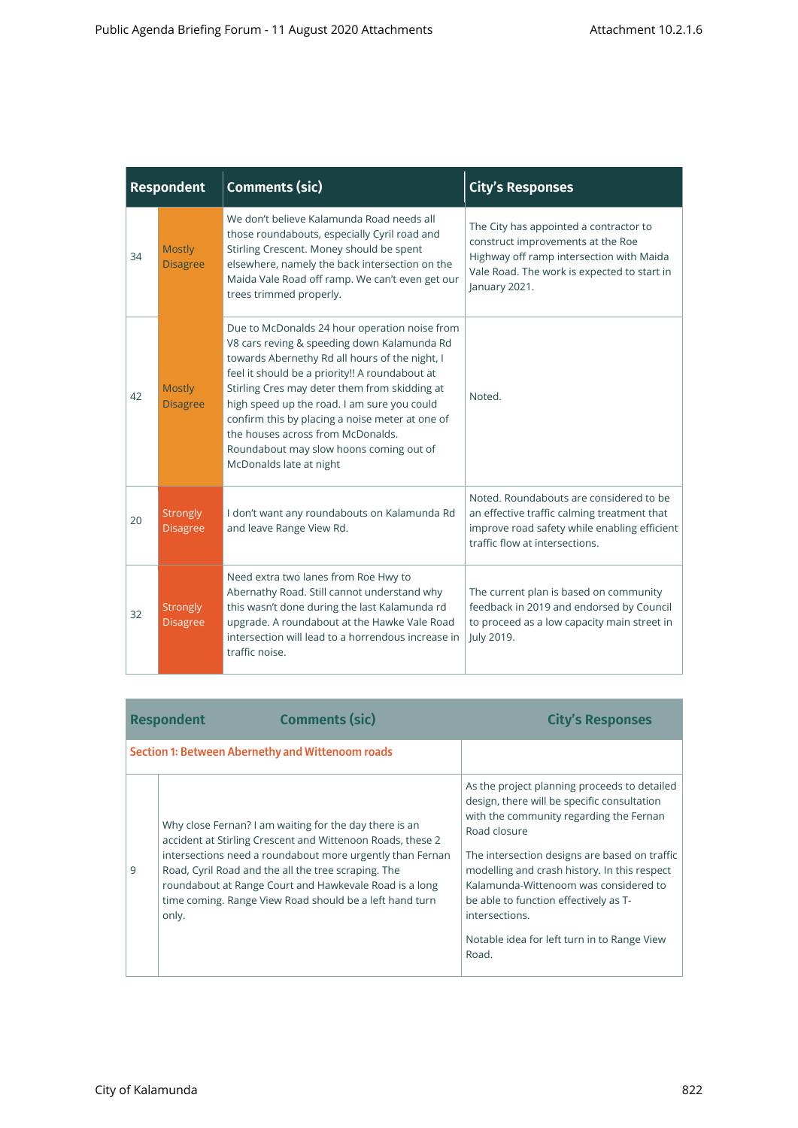| <b>Respondent</b> |                                    | <b>Comments (sic)</b>                                                                                                                                                                                                                                                                                                                                                                                                                                          | <b>City's Responses</b>                                                                                                                                                                 |
|-------------------|------------------------------------|----------------------------------------------------------------------------------------------------------------------------------------------------------------------------------------------------------------------------------------------------------------------------------------------------------------------------------------------------------------------------------------------------------------------------------------------------------------|-----------------------------------------------------------------------------------------------------------------------------------------------------------------------------------------|
| 34                | <b>Mostly</b><br><b>Disagree</b>   | We don't believe Kalamunda Road needs all<br>those roundabouts, especially Cyril road and<br>Stirling Crescent. Money should be spent<br>elsewhere, namely the back intersection on the<br>Maida Vale Road off ramp. We can't even get our<br>trees trimmed properly.                                                                                                                                                                                          | The City has appointed a contractor to<br>construct improvements at the Roe<br>Highway off ramp intersection with Maida<br>Vale Road. The work is expected to start in<br>January 2021. |
| 42                | <b>Mostly</b><br><b>Disagree</b>   | Due to McDonalds 24 hour operation noise from<br>V8 cars reving & speeding down Kalamunda Rd<br>towards Abernethy Rd all hours of the night, I<br>feel it should be a priority!! A roundabout at<br>Stirling Cres may deter them from skidding at<br>high speed up the road. I am sure you could<br>confirm this by placing a noise meter at one of<br>the houses across from McDonalds.<br>Roundabout may slow hoons coming out of<br>McDonalds late at night | Noted.                                                                                                                                                                                  |
| 20                | <b>Strongly</b><br><b>Disagree</b> | I don't want any roundabouts on Kalamunda Rd<br>and leave Range View Rd.                                                                                                                                                                                                                                                                                                                                                                                       | Noted. Roundabouts are considered to be<br>an effective traffic calming treatment that<br>improve road safety while enabling efficient<br>traffic flow at intersections.                |
| 32                | <b>Strongly</b><br><b>Disagree</b> | Need extra two lanes from Roe Hwy to<br>Abernathy Road. Still cannot understand why<br>this wasn't done during the last Kalamunda rd<br>upgrade. A roundabout at the Hawke Vale Road<br>intersection will lead to a horrendous increase in<br>traffic noise.                                                                                                                                                                                                   | The current plan is based on community<br>feedback in 2019 and endorsed by Council<br>to proceed as a low capacity main street in<br>July 2019.                                         |

| <b>Section 1: Between Abernethy and Wittenoom roads</b><br>Why close Fernan? I am waiting for the day there is an<br>Road closure                                                                                                                                                                                       | <b>Comments (sic)</b><br><b>Respondent</b>                 | <b>City's Responses</b>                                                                                                                                                                                                                                                                                                         |
|-------------------------------------------------------------------------------------------------------------------------------------------------------------------------------------------------------------------------------------------------------------------------------------------------------------------------|------------------------------------------------------------|---------------------------------------------------------------------------------------------------------------------------------------------------------------------------------------------------------------------------------------------------------------------------------------------------------------------------------|
|                                                                                                                                                                                                                                                                                                                         |                                                            |                                                                                                                                                                                                                                                                                                                                 |
| intersections need a roundabout more urgently than Fernan<br>Road, Cyril Road and the all the tree scraping. The<br>9<br>roundabout at Range Court and Hawkevale Road is a long<br>time coming. Range View Road should be a left hand turn<br>be able to function effectively as T-<br>intersections.<br>only.<br>Road. | accident at Stirling Crescent and Wittenoon Roads, these 2 | As the project planning proceeds to detailed<br>design, there will be specific consultation<br>with the community regarding the Fernan<br>The intersection designs are based on traffic<br>modelling and crash history. In this respect<br>Kalamunda-Wittenoom was considered to<br>Notable idea for left turn in to Range View |

and the control of the control of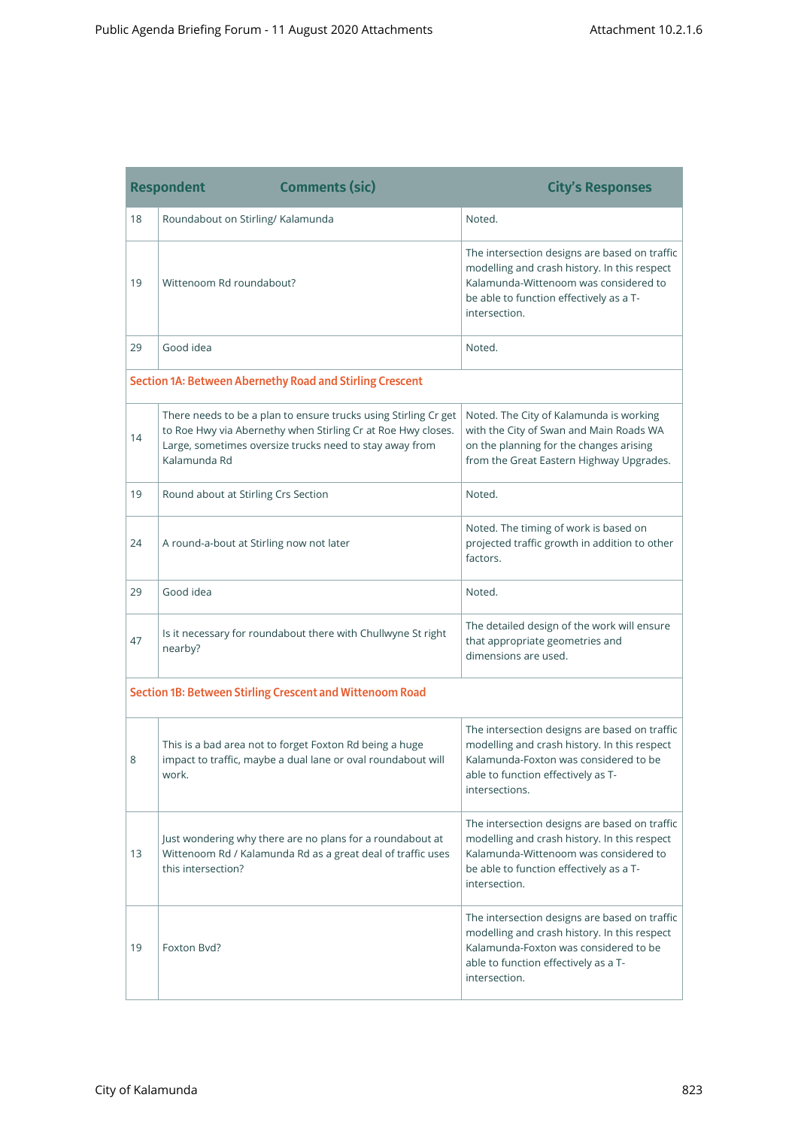|    | <b>Respondent</b><br><b>Comments (sic)</b>                                                                                                                                                                 | <b>City's Responses</b>                                                                                                                                                                            |
|----|------------------------------------------------------------------------------------------------------------------------------------------------------------------------------------------------------------|----------------------------------------------------------------------------------------------------------------------------------------------------------------------------------------------------|
| 18 | Roundabout on Stirling/ Kalamunda                                                                                                                                                                          | Noted.                                                                                                                                                                                             |
| 19 | Wittenoom Rd roundabout?                                                                                                                                                                                   | The intersection designs are based on traffic<br>modelling and crash history. In this respect<br>Kalamunda-Wittenoom was considered to<br>be able to function effectively as a T-<br>intersection. |
| 29 | Good idea                                                                                                                                                                                                  | Noted.                                                                                                                                                                                             |
|    | Section 1A: Between Abernethy Road and Stirling Crescent                                                                                                                                                   |                                                                                                                                                                                                    |
| 14 | There needs to be a plan to ensure trucks using Stirling Cr get<br>to Roe Hwy via Abernethy when Stirling Cr at Roe Hwy closes.<br>Large, sometimes oversize trucks need to stay away from<br>Kalamunda Rd | Noted. The City of Kalamunda is working<br>with the City of Swan and Main Roads WA<br>on the planning for the changes arising<br>from the Great Eastern Highway Upgrades.                          |
| 19 | Round about at Stirling Crs Section                                                                                                                                                                        | Noted.                                                                                                                                                                                             |
| 24 | A round-a-bout at Stirling now not later                                                                                                                                                                   | Noted. The timing of work is based on<br>projected traffic growth in addition to other<br>factors.                                                                                                 |
| 29 | Good idea                                                                                                                                                                                                  | Noted.                                                                                                                                                                                             |
| 47 | Is it necessary for roundabout there with Chullwyne St right<br>nearby?                                                                                                                                    | The detailed design of the work will ensure<br>that appropriate geometries and<br>dimensions are used.                                                                                             |
|    | Section 1B: Between Stirling Crescent and Wittenoom Road                                                                                                                                                   |                                                                                                                                                                                                    |
| 8  | This is a bad area not to forget Foxton Rd being a huge<br>impact to traffic, maybe a dual lane or oval roundabout will<br>work.                                                                           | The intersection designs are based on traffic<br>modelling and crash history. In this respect<br>Kalamunda-Foxton was considered to be<br>able to function effectively as T-<br>intersections.     |
| 13 | Just wondering why there are no plans for a roundabout at<br>Wittenoom Rd / Kalamunda Rd as a great deal of traffic uses<br>this intersection?                                                             | The intersection designs are based on traffic<br>modelling and crash history. In this respect<br>Kalamunda-Wittenoom was considered to<br>be able to function effectively as a T-<br>intersection. |
| 19 | Foxton Byd?                                                                                                                                                                                                | The intersection designs are based on traffic<br>modelling and crash history. In this respect<br>Kalamunda-Foxton was considered to be<br>able to function effectively as a T-<br>intersection.    |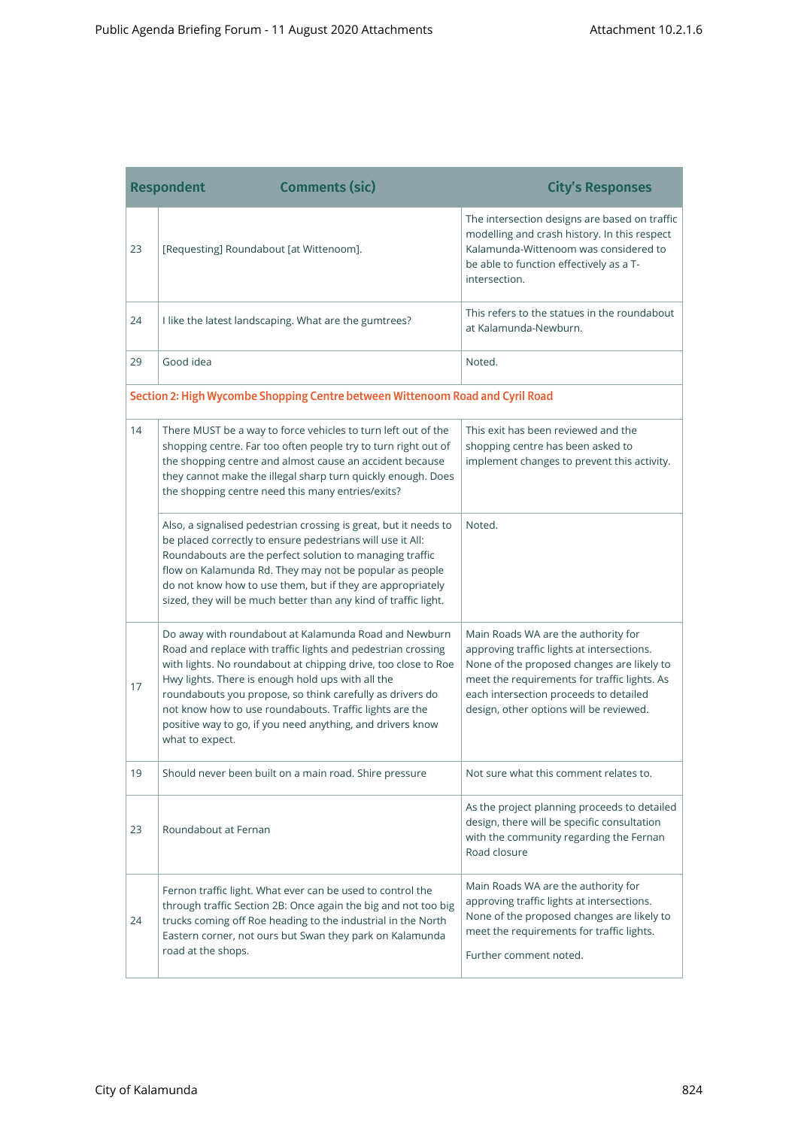|                                                                               | <b>Comments (sic)</b><br><b>Respondent</b>                                                                                                                                                                                                                                                                                                                                                                                                            | <b>City's Responses</b>                                                                                                                                                                                                                                              |
|-------------------------------------------------------------------------------|-------------------------------------------------------------------------------------------------------------------------------------------------------------------------------------------------------------------------------------------------------------------------------------------------------------------------------------------------------------------------------------------------------------------------------------------------------|----------------------------------------------------------------------------------------------------------------------------------------------------------------------------------------------------------------------------------------------------------------------|
| 23                                                                            | [Requesting] Roundabout [at Wittenoom].                                                                                                                                                                                                                                                                                                                                                                                                               | The intersection designs are based on traffic<br>modelling and crash history. In this respect<br>Kalamunda-Wittenoom was considered to<br>be able to function effectively as a T-<br>intersection.                                                                   |
| 24                                                                            | I like the latest landscaping. What are the gumtrees?                                                                                                                                                                                                                                                                                                                                                                                                 | This refers to the statues in the roundabout<br>at Kalamunda-Newburn.                                                                                                                                                                                                |
| 29                                                                            | Good idea                                                                                                                                                                                                                                                                                                                                                                                                                                             | Noted.                                                                                                                                                                                                                                                               |
| Section 2: High Wycombe Shopping Centre between Wittenoom Road and Cyril Road |                                                                                                                                                                                                                                                                                                                                                                                                                                                       |                                                                                                                                                                                                                                                                      |
| 14                                                                            | There MUST be a way to force vehicles to turn left out of the<br>shopping centre. Far too often people try to turn right out of<br>the shopping centre and almost cause an accident because<br>they cannot make the illegal sharp turn quickly enough. Does<br>the shopping centre need this many entries/exits?                                                                                                                                      | This exit has been reviewed and the<br>shopping centre has been asked to<br>implement changes to prevent this activity.                                                                                                                                              |
|                                                                               | Also, a signalised pedestrian crossing is great, but it needs to<br>be placed correctly to ensure pedestrians will use it All:<br>Roundabouts are the perfect solution to managing traffic<br>flow on Kalamunda Rd. They may not be popular as people<br>do not know how to use them, but if they are appropriately<br>sized, they will be much better than any kind of traffic light.                                                                | Noted.                                                                                                                                                                                                                                                               |
| 17                                                                            | Do away with roundabout at Kalamunda Road and Newburn<br>Road and replace with traffic lights and pedestrian crossing<br>with lights. No roundabout at chipping drive, too close to Roe<br>Hwy lights. There is enough hold ups with all the<br>roundabouts you propose, so think carefully as drivers do<br>not know how to use roundabouts. Traffic lights are the<br>positive way to go, if you need anything, and drivers know<br>what to expect. | Main Roads WA are the authority for<br>approving traffic lights at intersections.<br>None of the proposed changes are likely to<br>meet the requirements for traffic lights. As<br>each intersection proceeds to detailed<br>design, other options will be reviewed. |
| 19                                                                            | Should never been built on a main road. Shire pressure                                                                                                                                                                                                                                                                                                                                                                                                | Not sure what this comment relates to                                                                                                                                                                                                                                |
| 23                                                                            | Roundabout at Fernan                                                                                                                                                                                                                                                                                                                                                                                                                                  | As the project planning proceeds to detailed<br>design, there will be specific consultation<br>with the community regarding the Fernan<br>Road closure                                                                                                               |
| 24                                                                            | Fernon traffic light. What ever can be used to control the<br>through traffic Section 2B: Once again the big and not too big<br>trucks coming off Roe heading to the industrial in the North<br>Eastern corner, not ours but Swan they park on Kalamunda<br>road at the shops.                                                                                                                                                                        | Main Roads WA are the authority for<br>approving traffic lights at intersections.<br>None of the proposed changes are likely to<br>meet the requirements for traffic lights.<br>Further comment noted.                                                               |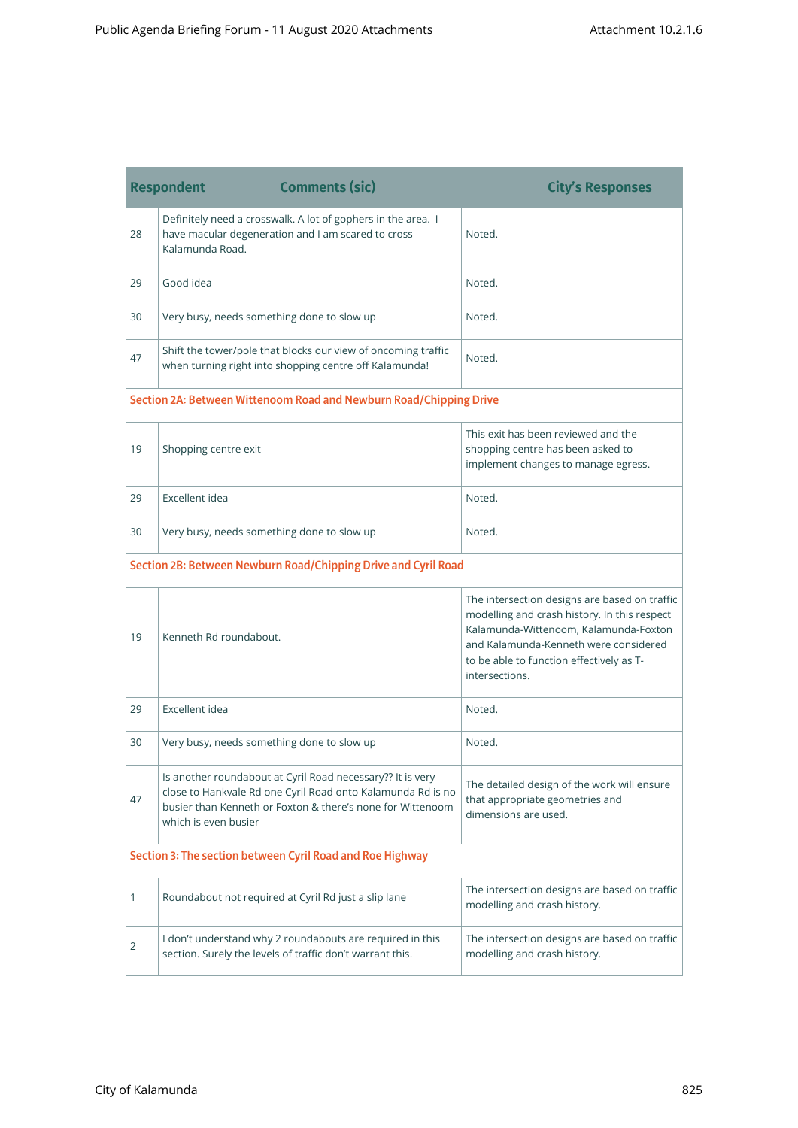|                                                                | <b>Respondent</b><br><b>Comments (sic)</b>                                                                                                                                                                      | <b>City's Responses</b>                                                                                                                                                                                                                       |
|----------------------------------------------------------------|-----------------------------------------------------------------------------------------------------------------------------------------------------------------------------------------------------------------|-----------------------------------------------------------------------------------------------------------------------------------------------------------------------------------------------------------------------------------------------|
| 28                                                             | Definitely need a crosswalk. A lot of gophers in the area. I<br>have macular degeneration and I am scared to cross<br>Kalamunda Road.                                                                           | Noted.                                                                                                                                                                                                                                        |
| 29                                                             | Good idea                                                                                                                                                                                                       | Noted.                                                                                                                                                                                                                                        |
| 30                                                             | Very busy, needs something done to slow up                                                                                                                                                                      | Noted.                                                                                                                                                                                                                                        |
| 47                                                             | Shift the tower/pole that blocks our view of oncoming traffic<br>when turning right into shopping centre off Kalamunda!                                                                                         | Noted.                                                                                                                                                                                                                                        |
|                                                                | Section 2A: Between Wittenoom Road and Newburn Road/Chipping Drive                                                                                                                                              |                                                                                                                                                                                                                                               |
| 19                                                             | Shopping centre exit                                                                                                                                                                                            | This exit has been reviewed and the<br>shopping centre has been asked to<br>implement changes to manage egress.                                                                                                                               |
| 29                                                             | Excellent idea                                                                                                                                                                                                  | Noted.                                                                                                                                                                                                                                        |
| 30                                                             | Very busy, needs something done to slow up                                                                                                                                                                      | Noted.                                                                                                                                                                                                                                        |
| Section 2B: Between Newburn Road/Chipping Drive and Cyril Road |                                                                                                                                                                                                                 |                                                                                                                                                                                                                                               |
| 19                                                             | Kenneth Rd roundabout.                                                                                                                                                                                          | The intersection designs are based on traffic<br>modelling and crash history. In this respect<br>Kalamunda-Wittenoom, Kalamunda-Foxton<br>and Kalamunda-Kenneth were considered<br>to be able to function effectively as T-<br>intersections. |
| 29                                                             | Excellent idea                                                                                                                                                                                                  | Noted.                                                                                                                                                                                                                                        |
| 30                                                             | Very busy, needs something done to slow up                                                                                                                                                                      | Noted.                                                                                                                                                                                                                                        |
| 47                                                             | Is another roundabout at Cyril Road necessary?? It is very<br>close to Hankvale Rd one Cyril Road onto Kalamunda Rd is no<br>busier than Kenneth or Foxton & there's none for Wittenoom<br>which is even busier | The detailed design of the work will ensure<br>that appropriate geometries and<br>dimensions are used.                                                                                                                                        |
|                                                                | Section 3: The section between Cyril Road and Roe Highway                                                                                                                                                       |                                                                                                                                                                                                                                               |
| 1                                                              | Roundabout not required at Cyril Rd just a slip lane                                                                                                                                                            | The intersection designs are based on traffic<br>modelling and crash history.                                                                                                                                                                 |
| 2                                                              | I don't understand why 2 roundabouts are required in this<br>section. Surely the levels of traffic don't warrant this.                                                                                          | The intersection designs are based on traffic<br>modelling and crash history.                                                                                                                                                                 |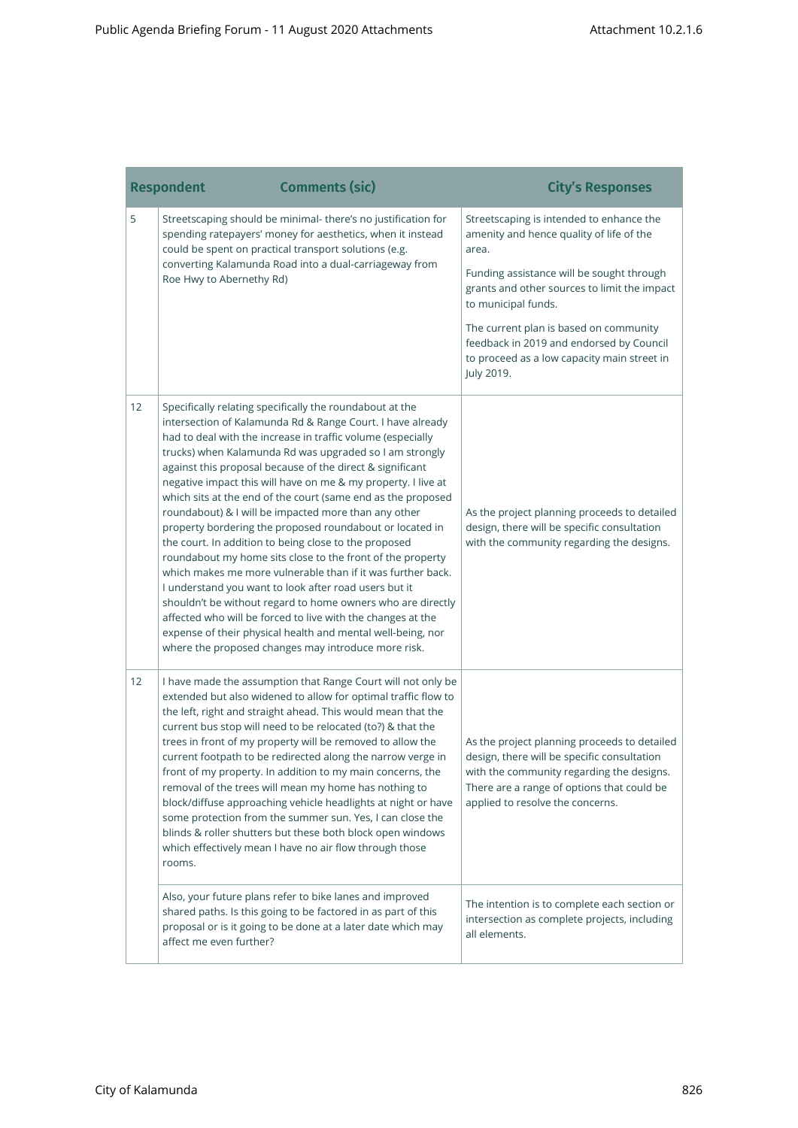|    | <b>Respondent</b>        | <b>Comments (sic)</b>                                                                                                                                                                                                                                                                                                                                                                                                                                                                                                                                                                                                                                                                                                                                                                                                                                                                                                                                                                                                                                                 | <b>City's Responses</b>                                                                                                                                                                                                    |
|----|--------------------------|-----------------------------------------------------------------------------------------------------------------------------------------------------------------------------------------------------------------------------------------------------------------------------------------------------------------------------------------------------------------------------------------------------------------------------------------------------------------------------------------------------------------------------------------------------------------------------------------------------------------------------------------------------------------------------------------------------------------------------------------------------------------------------------------------------------------------------------------------------------------------------------------------------------------------------------------------------------------------------------------------------------------------------------------------------------------------|----------------------------------------------------------------------------------------------------------------------------------------------------------------------------------------------------------------------------|
| 5  |                          | Streetscaping should be minimal- there's no justification for<br>spending ratepayers' money for aesthetics, when it instead<br>could be spent on practical transport solutions (e.g.                                                                                                                                                                                                                                                                                                                                                                                                                                                                                                                                                                                                                                                                                                                                                                                                                                                                                  | Streetscaping is intended to enhance the<br>amenity and hence quality of life of the<br>area.                                                                                                                              |
|    | Roe Hwy to Abernethy Rd) | converting Kalamunda Road into a dual-carriageway from                                                                                                                                                                                                                                                                                                                                                                                                                                                                                                                                                                                                                                                                                                                                                                                                                                                                                                                                                                                                                | Funding assistance will be sought through<br>grants and other sources to limit the impact<br>to municipal funds.                                                                                                           |
|    |                          |                                                                                                                                                                                                                                                                                                                                                                                                                                                                                                                                                                                                                                                                                                                                                                                                                                                                                                                                                                                                                                                                       | The current plan is based on community<br>feedback in 2019 and endorsed by Council<br>to proceed as a low capacity main street in<br>July 2019.                                                                            |
| 12 |                          | Specifically relating specifically the roundabout at the<br>intersection of Kalamunda Rd & Range Court. I have already<br>had to deal with the increase in traffic volume (especially<br>trucks) when Kalamunda Rd was upgraded so I am strongly<br>against this proposal because of the direct & significant<br>negative impact this will have on me & my property. I live at<br>which sits at the end of the court (same end as the proposed<br>roundabout) & I will be impacted more than any other<br>property bordering the proposed roundabout or located in<br>the court. In addition to being close to the proposed<br>roundabout my home sits close to the front of the property<br>which makes me more vulnerable than if it was further back.<br>I understand you want to look after road users but it<br>shouldn't be without regard to home owners who are directly<br>affected who will be forced to live with the changes at the<br>expense of their physical health and mental well-being, nor<br>where the proposed changes may introduce more risk. | As the project planning proceeds to detailed<br>design, there will be specific consultation<br>with the community regarding the designs.                                                                                   |
| 12 | rooms.                   | I have made the assumption that Range Court will not only be<br>extended but also widened to allow for optimal traffic flow to<br>the left, right and straight ahead. This would mean that the<br>current bus stop will need to be relocated (to?) & that the<br>trees in front of my property will be removed to allow the<br>current footpath to be redirected along the narrow verge in<br>front of my property. In addition to my main concerns, the<br>removal of the trees will mean my home has nothing to<br>block/diffuse approaching vehicle headlights at night or have<br>some protection from the summer sun. Yes, I can close the<br>blinds & roller shutters but these both block open windows<br>which effectively mean I have no air flow through those                                                                                                                                                                                                                                                                                              | As the project planning proceeds to detailed<br>design, there will be specific consultation<br>with the community regarding the designs.<br>There are a range of options that could be<br>applied to resolve the concerns. |
|    | affect me even further?  | Also, your future plans refer to bike lanes and improved<br>shared paths. Is this going to be factored in as part of this<br>proposal or is it going to be done at a later date which may                                                                                                                                                                                                                                                                                                                                                                                                                                                                                                                                                                                                                                                                                                                                                                                                                                                                             | The intention is to complete each section or<br>intersection as complete projects, including<br>all elements.                                                                                                              |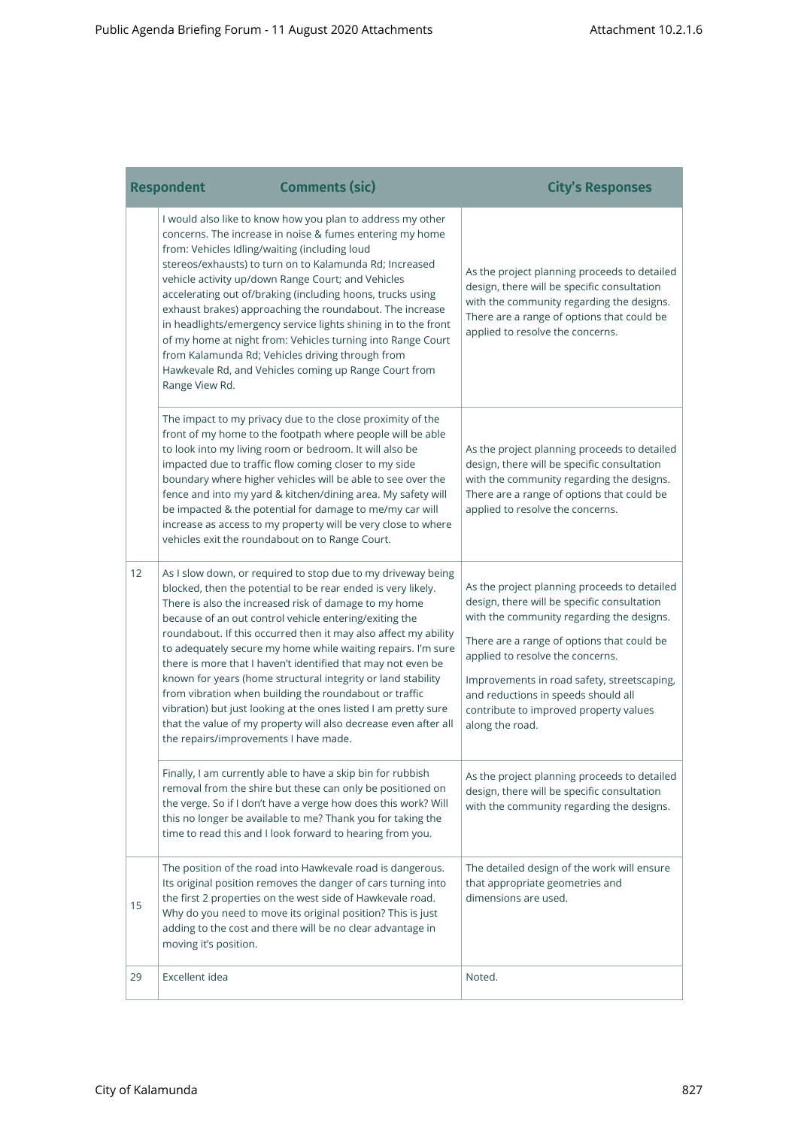è

|    | <b>Respondent</b>                                               | <b>Comments (sic)</b>                                                                                                                                                                                                                                                                                                                                                                                                                                                                                                                                                                                                                                                                                              | <b>City's Responses</b>                                                                                                                                                                                                                                                                                                                                                       |
|----|-----------------------------------------------------------------|--------------------------------------------------------------------------------------------------------------------------------------------------------------------------------------------------------------------------------------------------------------------------------------------------------------------------------------------------------------------------------------------------------------------------------------------------------------------------------------------------------------------------------------------------------------------------------------------------------------------------------------------------------------------------------------------------------------------|-------------------------------------------------------------------------------------------------------------------------------------------------------------------------------------------------------------------------------------------------------------------------------------------------------------------------------------------------------------------------------|
|    | from: Vehicles Idling/waiting (including loud<br>Range View Rd. | I would also like to know how you plan to address my other<br>concerns. The increase in noise & fumes entering my home<br>stereos/exhausts) to turn on to Kalamunda Rd; Increased<br>vehicle activity up/down Range Court; and Vehicles<br>accelerating out of/braking (including hoons, trucks using<br>exhaust brakes) approaching the roundabout. The increase<br>in headlights/emergency service lights shining in to the front<br>of my home at night from: Vehicles turning into Range Court<br>from Kalamunda Rd; Vehicles driving through from<br>Hawkevale Rd, and Vehicles coming up Range Court from                                                                                                    | As the project planning proceeds to detailed<br>design, there will be specific consultation<br>with the community regarding the designs.<br>There are a range of options that could be<br>applied to resolve the concerns.                                                                                                                                                    |
|    |                                                                 | The impact to my privacy due to the close proximity of the<br>front of my home to the footpath where people will be able<br>to look into my living room or bedroom. It will also be<br>impacted due to traffic flow coming closer to my side<br>boundary where higher vehicles will be able to see over the<br>fence and into my yard & kitchen/dining area. My safety will<br>be impacted & the potential for damage to me/my car will<br>increase as access to my property will be very close to where<br>vehicles exit the roundabout on to Range Court.                                                                                                                                                        | As the project planning proceeds to detailed<br>design, there will be specific consultation<br>with the community regarding the designs.<br>There are a range of options that could be<br>applied to resolve the concerns.                                                                                                                                                    |
| 12 | the repairs/improvements I have made.                           | As I slow down, or required to stop due to my driveway being<br>blocked, then the potential to be rear ended is very likely.<br>There is also the increased risk of damage to my home<br>because of an out control vehicle entering/exiting the<br>roundabout. If this occurred then it may also affect my ability<br>to adequately secure my home while waiting repairs. I'm sure<br>there is more that I haven't identified that may not even be<br>known for years (home structural integrity or land stability<br>from vibration when building the roundabout or traffic<br>vibration) but just looking at the ones listed I am pretty sure<br>that the value of my property will also decrease even after all | As the project planning proceeds to detailed<br>design, there will be specific consultation<br>with the community regarding the designs.<br>There are a range of options that could be<br>applied to resolve the concerns.<br>Improvements in road safety, streetscaping,<br>and reductions in speeds should all<br>contribute to improved property values<br>along the road. |
|    |                                                                 | Finally, I am currently able to have a skip bin for rubbish<br>removal from the shire but these can only be positioned on<br>the verge. So if I don't have a verge how does this work? Will<br>this no longer be available to me? Thank you for taking the<br>time to read this and I look forward to hearing from you.                                                                                                                                                                                                                                                                                                                                                                                            | As the project planning proceeds to detailed<br>design, there will be specific consultation<br>with the community regarding the designs.                                                                                                                                                                                                                                      |
| 15 | moving it's position.                                           | The position of the road into Hawkevale road is dangerous.<br>Its original position removes the danger of cars turning into<br>the first 2 properties on the west side of Hawkevale road.<br>Why do you need to move its original position? This is just<br>adding to the cost and there will be no clear advantage in                                                                                                                                                                                                                                                                                                                                                                                             | The detailed design of the work will ensure<br>that appropriate geometries and<br>dimensions are used.                                                                                                                                                                                                                                                                        |
| 29 | Excellent idea                                                  |                                                                                                                                                                                                                                                                                                                                                                                                                                                                                                                                                                                                                                                                                                                    | Noted.                                                                                                                                                                                                                                                                                                                                                                        |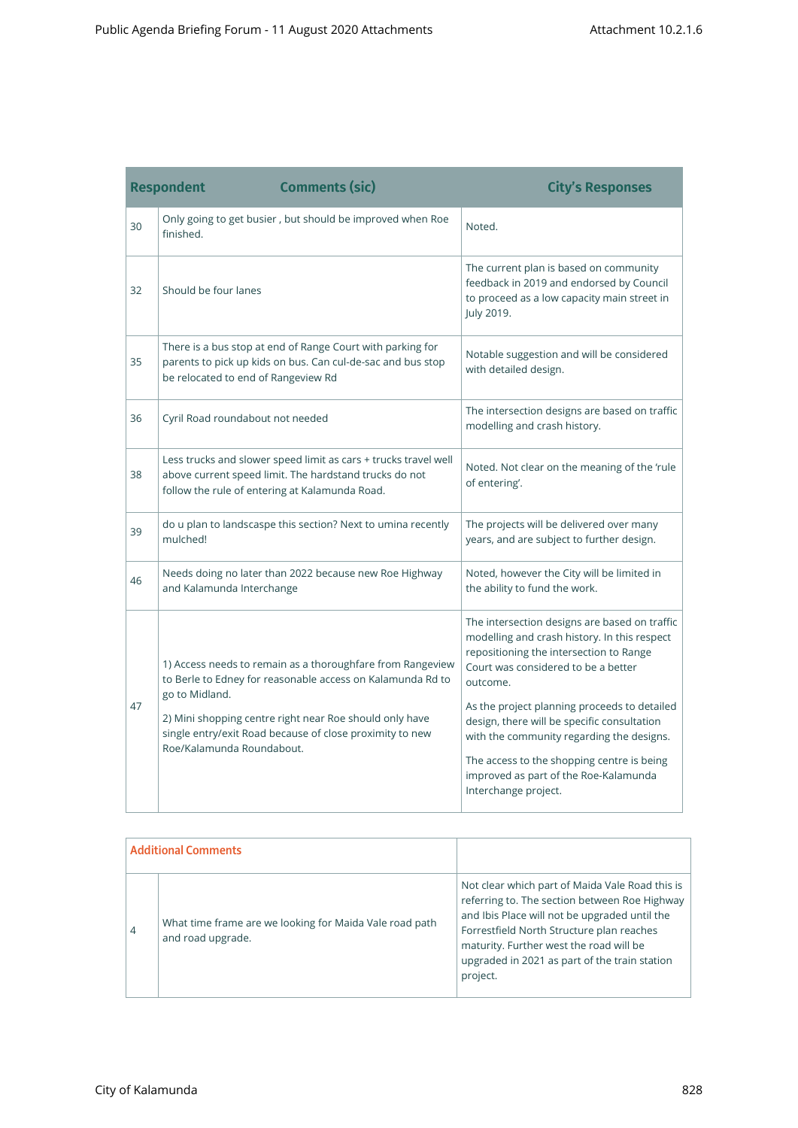the control of the control of the control

<u> 1989 - Johann Barnett, mars et al. 19</u>

|    | <b>Comments (sic)</b><br><b>Respondent</b>                                                                                                                                                                                                                                                     | <b>City's Responses</b>                                                                                                                                                                                                                                                                                                                                                                                                                                |
|----|------------------------------------------------------------------------------------------------------------------------------------------------------------------------------------------------------------------------------------------------------------------------------------------------|--------------------------------------------------------------------------------------------------------------------------------------------------------------------------------------------------------------------------------------------------------------------------------------------------------------------------------------------------------------------------------------------------------------------------------------------------------|
| 30 | Only going to get busier, but should be improved when Roe<br>finished.                                                                                                                                                                                                                         | Noted.                                                                                                                                                                                                                                                                                                                                                                                                                                                 |
| 32 | Should be four lanes                                                                                                                                                                                                                                                                           | The current plan is based on community<br>feedback in 2019 and endorsed by Council<br>to proceed as a low capacity main street in<br>July 2019.                                                                                                                                                                                                                                                                                                        |
| 35 | There is a bus stop at end of Range Court with parking for<br>parents to pick up kids on bus. Can cul-de-sac and bus stop<br>be relocated to end of Rangeview Rd                                                                                                                               | Notable suggestion and will be considered<br>with detailed design.                                                                                                                                                                                                                                                                                                                                                                                     |
| 36 | Cyril Road roundabout not needed                                                                                                                                                                                                                                                               | The intersection designs are based on traffic<br>modelling and crash history.                                                                                                                                                                                                                                                                                                                                                                          |
| 38 | Less trucks and slower speed limit as cars + trucks travel well<br>above current speed limit. The hardstand trucks do not<br>follow the rule of entering at Kalamunda Road.                                                                                                                    | Noted. Not clear on the meaning of the 'rule<br>of entering'.                                                                                                                                                                                                                                                                                                                                                                                          |
| 39 | do u plan to landscaspe this section? Next to umina recently<br>mulched!                                                                                                                                                                                                                       | The projects will be delivered over many<br>years, and are subject to further design.                                                                                                                                                                                                                                                                                                                                                                  |
| 46 | Needs doing no later than 2022 because new Roe Highway<br>and Kalamunda Interchange                                                                                                                                                                                                            | Noted, however the City will be limited in<br>the ability to fund the work.                                                                                                                                                                                                                                                                                                                                                                            |
| 47 | 1) Access needs to remain as a thoroughfare from Rangeview<br>to Berle to Edney for reasonable access on Kalamunda Rd to<br>go to Midland.<br>2) Mini shopping centre right near Roe should only have<br>single entry/exit Road because of close proximity to new<br>Roe/Kalamunda Roundabout. | The intersection designs are based on traffic<br>modelling and crash history. In this respect<br>repositioning the intersection to Range<br>Court was considered to be a better<br>outcome.<br>As the project planning proceeds to detailed<br>design, there will be specific consultation<br>with the community regarding the designs.<br>The access to the shopping centre is being<br>improved as part of the Roe-Kalamunda<br>Interchange project. |

| <b>Additional Comments</b> |                                                                              |                                                                                                                                                                                                                                                                                                        |
|----------------------------|------------------------------------------------------------------------------|--------------------------------------------------------------------------------------------------------------------------------------------------------------------------------------------------------------------------------------------------------------------------------------------------------|
| 4                          | What time frame are we looking for Maida Vale road path<br>and road upgrade. | Not clear which part of Maida Vale Road this is<br>referring to. The section between Roe Highway<br>and Ibis Place will not be upgraded until the<br>Forrestfield North Structure plan reaches<br>maturity. Further west the road will be<br>upgraded in 2021 as part of the train station<br>project. |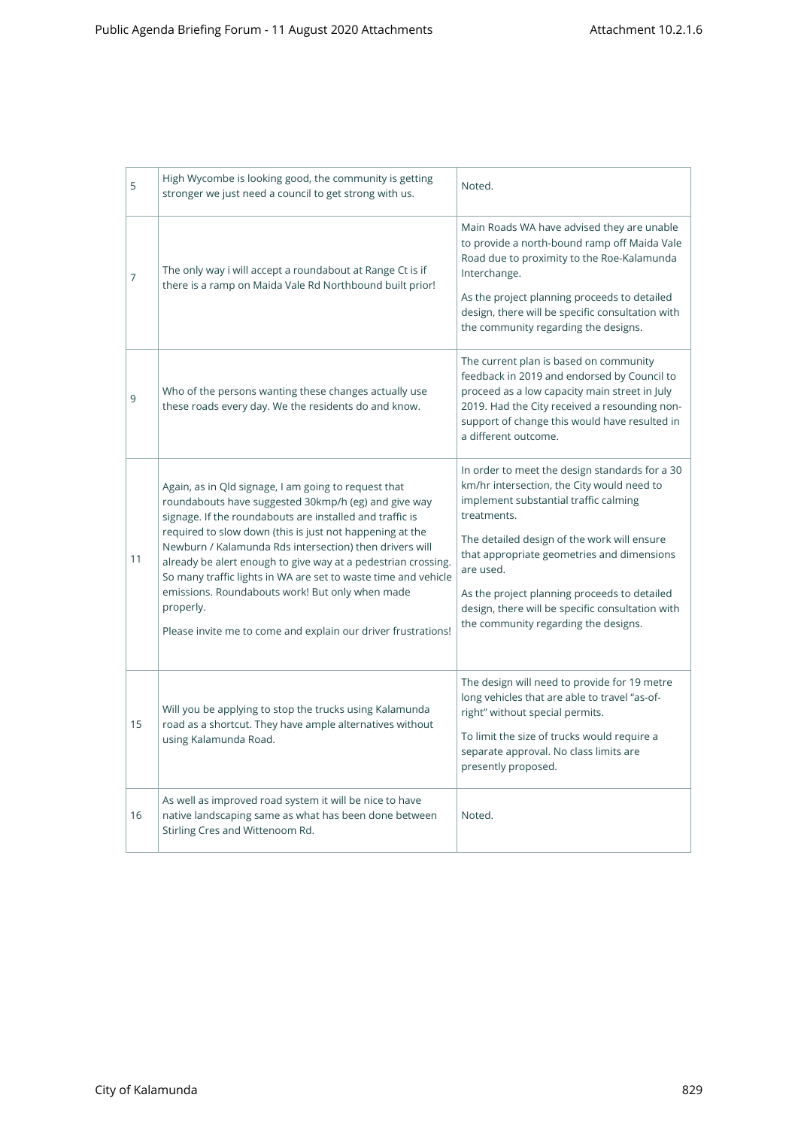| 5  | High Wycombe is looking good, the community is getting<br>stronger we just need a council to get strong with us.                                                                                                                                                                                                                                                                                                                                                                                                                                                    | Noted.                                                                                                                                                                                                                                                                                                                                                                                                     |
|----|---------------------------------------------------------------------------------------------------------------------------------------------------------------------------------------------------------------------------------------------------------------------------------------------------------------------------------------------------------------------------------------------------------------------------------------------------------------------------------------------------------------------------------------------------------------------|------------------------------------------------------------------------------------------------------------------------------------------------------------------------------------------------------------------------------------------------------------------------------------------------------------------------------------------------------------------------------------------------------------|
| 7  | The only way i will accept a roundabout at Range Ct is if<br>there is a ramp on Maida Vale Rd Northbound built prior!                                                                                                                                                                                                                                                                                                                                                                                                                                               | Main Roads WA have advised they are unable<br>to provide a north-bound ramp off Maida Vale<br>Road due to proximity to the Roe-Kalamunda<br>Interchange.<br>As the project planning proceeds to detailed<br>design, there will be specific consultation with<br>the community regarding the designs.                                                                                                       |
| 9  | Who of the persons wanting these changes actually use<br>these roads every day. We the residents do and know.                                                                                                                                                                                                                                                                                                                                                                                                                                                       | The current plan is based on community<br>feedback in 2019 and endorsed by Council to<br>proceed as a low capacity main street in July<br>2019. Had the City received a resounding non-<br>support of change this would have resulted in<br>a different outcome.                                                                                                                                           |
| 11 | Again, as in Qld signage, I am going to request that<br>roundabouts have suggested 30kmp/h (eg) and give way<br>signage. If the roundabouts are installed and traffic is<br>required to slow down (this is just not happening at the<br>Newburn / Kalamunda Rds intersection) then drivers will<br>already be alert enough to give way at a pedestrian crossing.<br>So many traffic lights in WA are set to waste time and vehicle<br>emissions. Roundabouts work! But only when made<br>properly.<br>Please invite me to come and explain our driver frustrations! | In order to meet the design standards for a 30<br>km/hr intersection, the City would need to<br>implement substantial traffic calming<br>treatments.<br>The detailed design of the work will ensure<br>that appropriate geometries and dimensions<br>are used.<br>As the project planning proceeds to detailed<br>design, there will be specific consultation with<br>the community regarding the designs. |
| 15 | Will you be applying to stop the trucks using Kalamunda<br>road as a shortcut. They have ample alternatives without<br>using Kalamunda Road.                                                                                                                                                                                                                                                                                                                                                                                                                        | The design will need to provide for 19 metre<br>long vehicles that are able to travel "as-of-<br>right" without special permits.<br>To limit the size of trucks would require a<br>separate approval. No class limits are<br>presently proposed.                                                                                                                                                           |
| 16 | As well as improved road system it will be nice to have<br>native landscaping same as what has been done between<br>Stirling Cres and Wittenoom Rd.                                                                                                                                                                                                                                                                                                                                                                                                                 | Noted.                                                                                                                                                                                                                                                                                                                                                                                                     |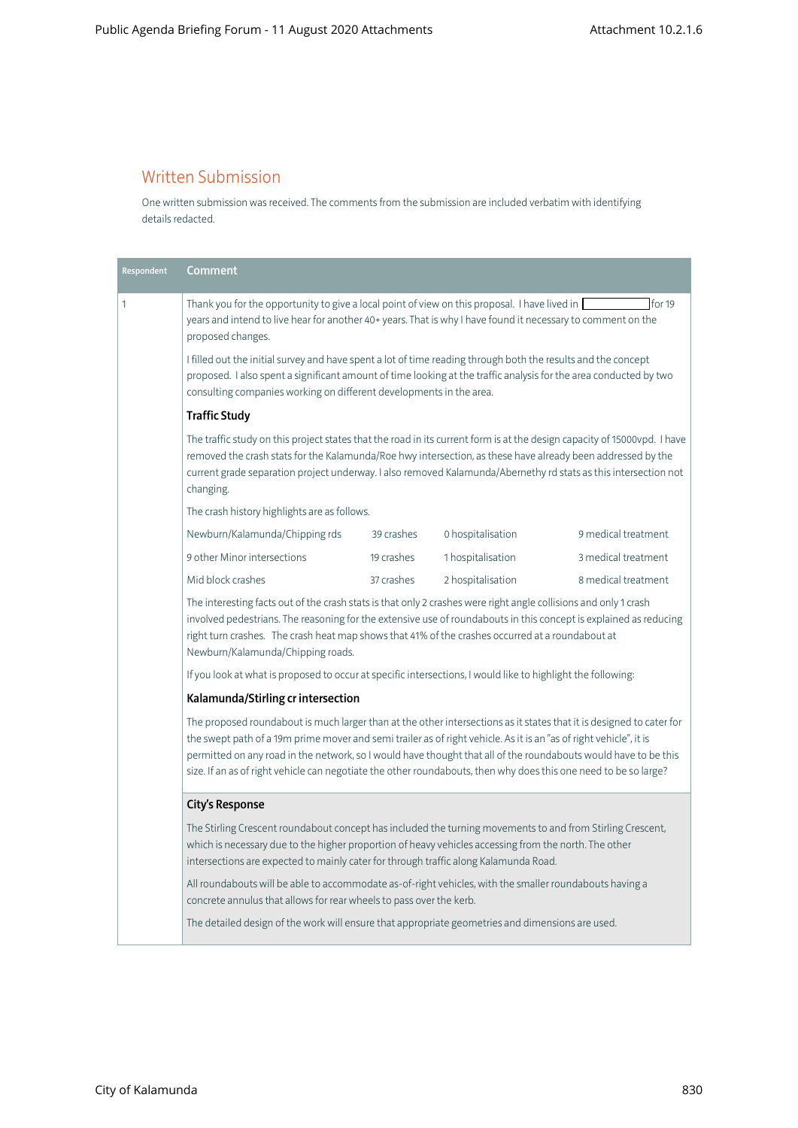### Written Submission

One written submission was received. The comments from the submission are included verbatim with identifying details redacted.

| Respondent                                                                                                                                                                                                                                                                                                                                                                                                                                                                                     | Comment                                                                                                                                                                                                                                                                                                                                                                                                                                                                                                                                           |            |                   |                     |
|------------------------------------------------------------------------------------------------------------------------------------------------------------------------------------------------------------------------------------------------------------------------------------------------------------------------------------------------------------------------------------------------------------------------------------------------------------------------------------------------|---------------------------------------------------------------------------------------------------------------------------------------------------------------------------------------------------------------------------------------------------------------------------------------------------------------------------------------------------------------------------------------------------------------------------------------------------------------------------------------------------------------------------------------------------|------------|-------------------|---------------------|
| $\mathbf{1}$                                                                                                                                                                                                                                                                                                                                                                                                                                                                                   | Thank you for the opportunity to give a local point of view on this proposal. I have lived in [<br>years and intend to live hear for another 40+ years. That is why I have found it necessary to comment on the<br>proposed changes.<br>I filled out the initial survey and have spent a lot of time reading through both the results and the concept<br>proposed. I also spent a significant amount of time looking at the traffic analysis for the area conducted by two<br>consulting companies working on different developments in the area. |            |                   | for 19              |
|                                                                                                                                                                                                                                                                                                                                                                                                                                                                                                |                                                                                                                                                                                                                                                                                                                                                                                                                                                                                                                                                   |            |                   |                     |
|                                                                                                                                                                                                                                                                                                                                                                                                                                                                                                | <b>Traffic Study</b>                                                                                                                                                                                                                                                                                                                                                                                                                                                                                                                              |            |                   |                     |
|                                                                                                                                                                                                                                                                                                                                                                                                                                                                                                | The traffic study on this project states that the road in its current form is at the design capacity of 15000vpd. I have<br>removed the crash stats for the Kalamunda/Roe hwy intersection, as these have already been addressed by the<br>current grade separation project underway. I also removed Kalamunda/Abernethy rd stats as this intersection not<br>changing.                                                                                                                                                                           |            |                   |                     |
|                                                                                                                                                                                                                                                                                                                                                                                                                                                                                                | The crash history highlights are as follows.                                                                                                                                                                                                                                                                                                                                                                                                                                                                                                      |            |                   |                     |
|                                                                                                                                                                                                                                                                                                                                                                                                                                                                                                | Newburn/Kalamunda/Chipping rds                                                                                                                                                                                                                                                                                                                                                                                                                                                                                                                    | 39 crashes | 0 hospitalisation | 9 medical treatment |
|                                                                                                                                                                                                                                                                                                                                                                                                                                                                                                | 9 other Minor intersections                                                                                                                                                                                                                                                                                                                                                                                                                                                                                                                       | 19 crashes | 1 hospitalisation | 3 medical treatment |
|                                                                                                                                                                                                                                                                                                                                                                                                                                                                                                | Mid block crashes                                                                                                                                                                                                                                                                                                                                                                                                                                                                                                                                 | 37 crashes | 2 hospitalisation | 8 medical treatment |
| The interesting facts out of the crash stats is that only 2 crashes were right angle collisions and only 1 crash<br>involved pedestrians. The reasoning for the extensive use of roundabouts in this concept is explained as reducing<br>right turn crashes. The crash heat map shows that 41% of the crashes occurred at a roundabout at<br>Newburn/Kalamunda/Chipping roads.<br>If you look at what is proposed to occur at specific intersections, I would like to highlight the following: |                                                                                                                                                                                                                                                                                                                                                                                                                                                                                                                                                   |            |                   |                     |
|                                                                                                                                                                                                                                                                                                                                                                                                                                                                                                |                                                                                                                                                                                                                                                                                                                                                                                                                                                                                                                                                   |            |                   |                     |
|                                                                                                                                                                                                                                                                                                                                                                                                                                                                                                | Kalamunda/Stirling cr intersection                                                                                                                                                                                                                                                                                                                                                                                                                                                                                                                |            |                   |                     |
| The proposed roundabout is much larger than at the other intersections as it states that it is designed to cater for<br>the swept path of a 19m prime mover and semi trailer as of right vehicle. As it is an "as of right vehicle", it is<br>permitted on any road in the network, so I would have thought that all of the roundabouts would have to be this<br>size. If an as of right vehicle can negotiate the other roundabouts, then why does this one need to be so large?              |                                                                                                                                                                                                                                                                                                                                                                                                                                                                                                                                                   |            |                   |                     |
|                                                                                                                                                                                                                                                                                                                                                                                                                                                                                                | <b>City's Response</b>                                                                                                                                                                                                                                                                                                                                                                                                                                                                                                                            |            |                   |                     |
| The Stirling Crescent roundabout concept has included the turning movements to and from Stirling Crescent,<br>which is necessary due to the higher proportion of heavy vehicles accessing from the north. The other<br>intersections are expected to mainly cater for through traffic along Kalamunda Road.<br>All roundabouts will be able to accommodate as-of-right vehicles, with the smaller roundabouts having a<br>concrete annulus that allows for rear wheels to pass over the kerb.  |                                                                                                                                                                                                                                                                                                                                                                                                                                                                                                                                                   |            |                   |                     |
|                                                                                                                                                                                                                                                                                                                                                                                                                                                                                                |                                                                                                                                                                                                                                                                                                                                                                                                                                                                                                                                                   |            |                   |                     |
|                                                                                                                                                                                                                                                                                                                                                                                                                                                                                                | The detailed design of the work will ensure that appropriate geometries and dimensions are used.                                                                                                                                                                                                                                                                                                                                                                                                                                                  |            |                   |                     |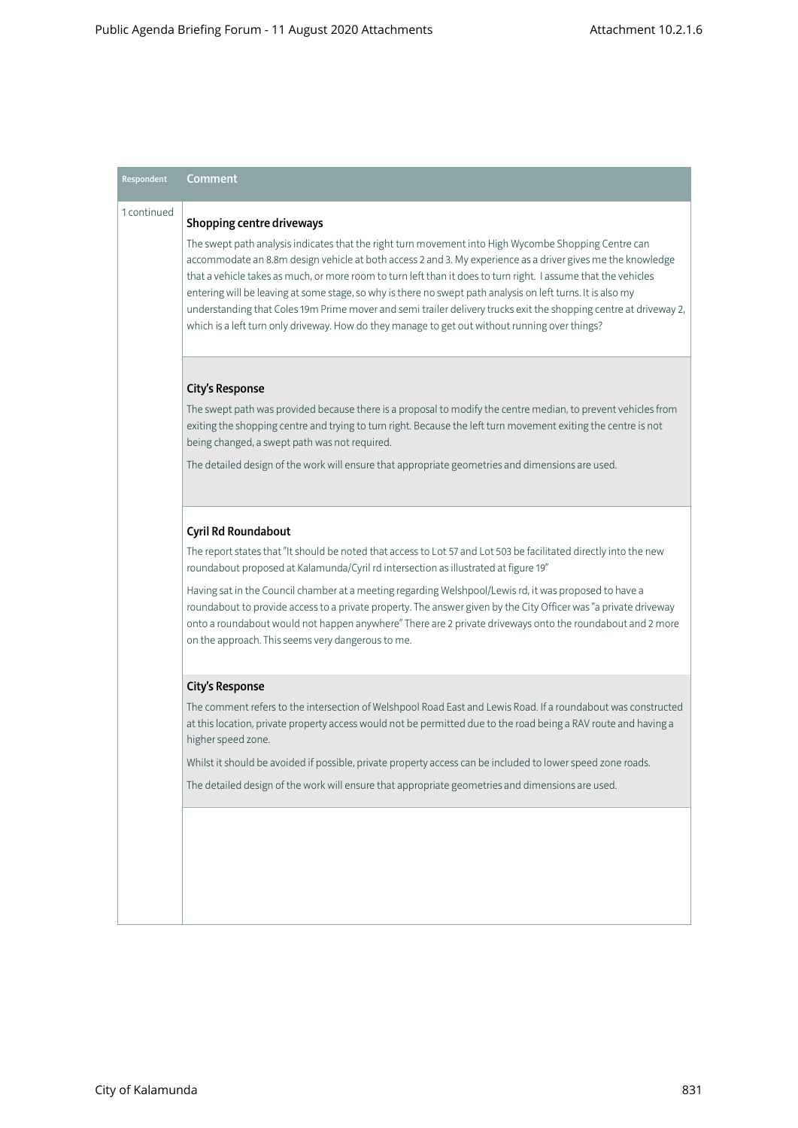### Respondent Comment 1 continued Shopping centre driveways The swept path analysis indicates that the right turn movement into High Wycombe Shopping Centre can accommodate an 8.8m design vehicle at both access 2 and 3. My experience as a driver gives me the knowledge that a vehicle takes as much, or more room to turn left than it does to turn right. I assume that the vehicles entering will be leaving at some stage, so why is there no swept path analysis on left turns. It is also my understanding that Coles 19m Prime mover and semi trailer delivery trucks exit the shopping centre at driveway 2, which is a left turn only driveway. How do they manage to get out without running over things? City's Response The swept path was provided because there is a proposal to modify the centre median, to prevent vehicles from exiting the shopping centre and trying to turn right. Because the left turn movement exiting the centre is not being changed, a swept path was not required. The detailed design of the work will ensure that appropriate geometries and dimensions are used. Cyril Rd Roundabout The report states that "It should be noted that access to Lot 57 and Lot 503 be facilitated directly into the new roundabout proposed at Kalamunda/Cyril rd intersection as illustrated at figure 19" Having sat in the Council chamber at a meeting regarding Welshpool/Lewis rd, it was proposed to have a roundabout to provide access to a private property. The answer given by the City Officer was "a private driveway onto a roundabout would not happen anywhere" There are 2 private driveways onto the roundabout and 2 more on the approach. This seems very dangerous to me. City's Response The comment refers to the intersection of Welshpool Road East and Lewis Road. If a roundabout was constructed at this location, private property access would not be permitted due to the road being a RAV route and having a higher speed zone. Whilst it should be avoided if possible, private property access can be included to lower speed zone roads. The detailed design of the work will ensure that appropriate geometries and dimensions are used.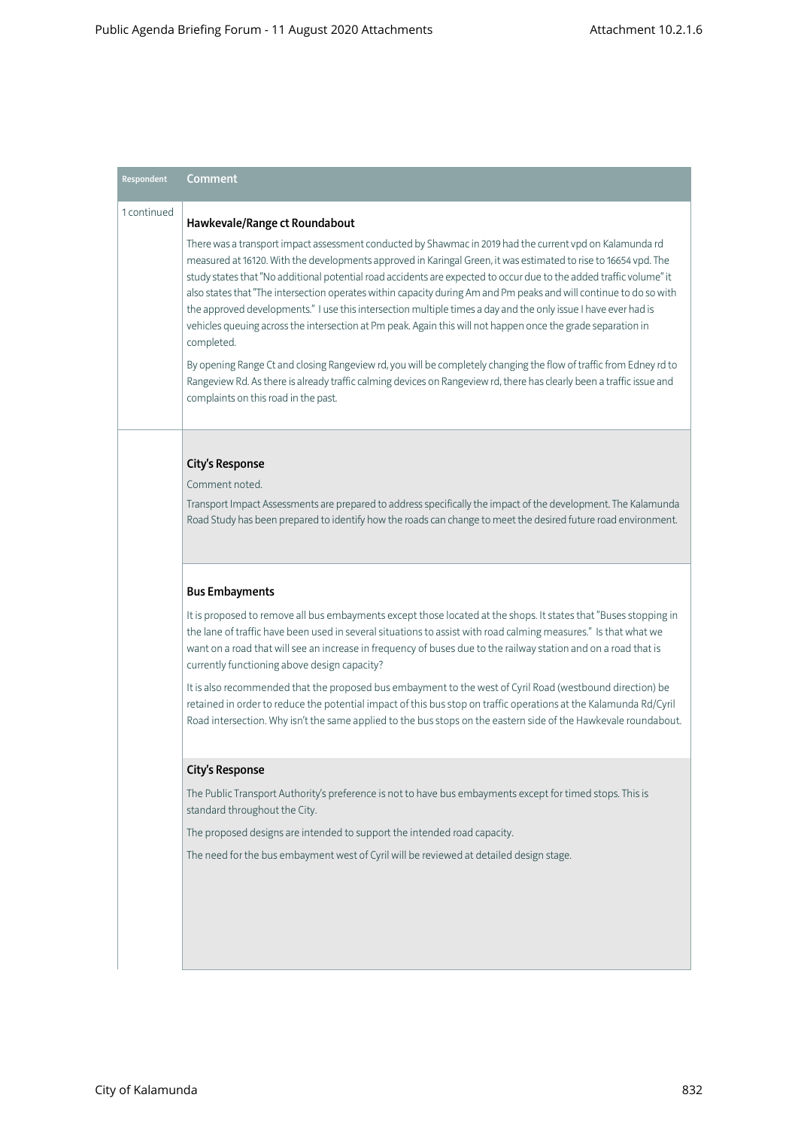## Respondent Comment 1 continued Hawkevale/Range ct Roundabout There was a transport impact assessment conducted by Shawmac in 2019 had the current vpd on Kalamunda rd measured at 16120. With the developments approved in Karingal Green, it was estimated to rise to 16654 vpd. The study states that "No additional potential road accidents are expected to occur due to the added traffic volume" it also states that "The intersection operates within capacity during Am and Pm peaks and will continue to do so with the approved developments." I use this intersection multiple times a day and the only issue I have ever had is vehicles queuing across the intersection at Pm peak. Again this will not happen once the grade separation in completed. By opening Range Ct and closing Rangeview rd, you will be completely changing the flow of traffic from Edney rd to Rangeview Rd. As there is already traffic calming devices on Rangeview rd, there has clearly been a traffic issue and complaints on this road in the past. City's Response Comment noted. Transport Impact Assessments are prepared to address specifically the impact of the development. The Kalamunda Road Study has been prepared to identify how the roads can change to meet the desired future road environment. Bus Embayments It is proposed to remove all bus embayments except those located at the shops. It states that "Buses stopping in the lane of traffic have been used in several situations to assist with road calming measures." Is that what we want on a road that will see an increase in frequency of buses due to the railway station and on a road that is currently functioning above design capacity? It is also recommended that the proposed bus embayment to the west of Cyril Road (westbound direction) be retained in order to reduce the potential impact of this bus stop on traffic operations at the Kalamunda Rd/Cyril Road intersection. Why isn't the same applied to the bus stops on the eastern side of the Hawkevale roundabout. City's Response The Public Transport Authority's preference is not to have bus embayments except for timed stops. This is standard throughout the City. The proposed designs are intended to support the intended road capacity. The need for the bus embayment west of Cyril will be reviewed at detailed design stage.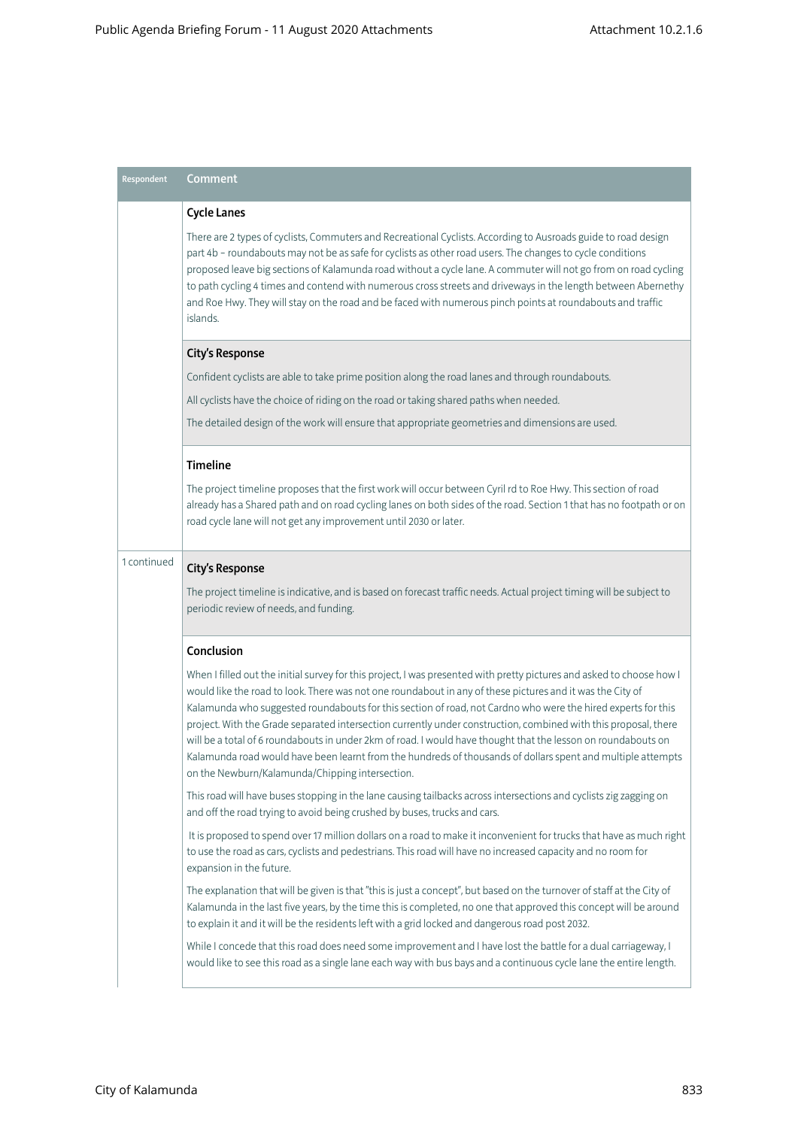| Respondent  | <b>Comment</b>                                                                                                                                                                                                                                                                                                                                                                                                                                                                                                                                                                                                                                                                                                                                           |  |  |
|-------------|----------------------------------------------------------------------------------------------------------------------------------------------------------------------------------------------------------------------------------------------------------------------------------------------------------------------------------------------------------------------------------------------------------------------------------------------------------------------------------------------------------------------------------------------------------------------------------------------------------------------------------------------------------------------------------------------------------------------------------------------------------|--|--|
|             | <b>Cycle Lanes</b>                                                                                                                                                                                                                                                                                                                                                                                                                                                                                                                                                                                                                                                                                                                                       |  |  |
|             | There are 2 types of cyclists, Commuters and Recreational Cyclists. According to Ausroads guide to road design<br>part 4b - roundabouts may not be as safe for cyclists as other road users. The changes to cycle conditions<br>proposed leave big sections of Kalamunda road without a cycle lane. A commuter will not go from on road cycling<br>to path cycling 4 times and contend with numerous cross streets and driveways in the length between Abernethy<br>and Roe Hwy. They will stay on the road and be faced with numerous pinch points at roundabouts and traffic<br>islands.                                                                                                                                                               |  |  |
|             | <b>City's Response</b>                                                                                                                                                                                                                                                                                                                                                                                                                                                                                                                                                                                                                                                                                                                                   |  |  |
|             | Confident cyclists are able to take prime position along the road lanes and through roundabouts.                                                                                                                                                                                                                                                                                                                                                                                                                                                                                                                                                                                                                                                         |  |  |
|             | All cyclists have the choice of riding on the road or taking shared paths when needed.                                                                                                                                                                                                                                                                                                                                                                                                                                                                                                                                                                                                                                                                   |  |  |
|             | The detailed design of the work will ensure that appropriate geometries and dimensions are used.                                                                                                                                                                                                                                                                                                                                                                                                                                                                                                                                                                                                                                                         |  |  |
|             | Timeline                                                                                                                                                                                                                                                                                                                                                                                                                                                                                                                                                                                                                                                                                                                                                 |  |  |
|             | The project timeline proposes that the first work will occur between Cyril rd to Roe Hwy. This section of road<br>already has a Shared path and on road cycling lanes on both sides of the road. Section 1 that has no footpath or on<br>road cycle lane will not get any improvement until 2030 or later.                                                                                                                                                                                                                                                                                                                                                                                                                                               |  |  |
| 1 continued | <b>City's Response</b>                                                                                                                                                                                                                                                                                                                                                                                                                                                                                                                                                                                                                                                                                                                                   |  |  |
|             | The project timeline is indicative, and is based on forecast traffic needs. Actual project timing will be subject to<br>periodic review of needs, and funding.                                                                                                                                                                                                                                                                                                                                                                                                                                                                                                                                                                                           |  |  |
|             | Conclusion                                                                                                                                                                                                                                                                                                                                                                                                                                                                                                                                                                                                                                                                                                                                               |  |  |
|             | When I filled out the initial survey for this project, I was presented with pretty pictures and asked to choose how I<br>would like the road to look. There was not one roundabout in any of these pictures and it was the City of<br>Kalamunda who suggested roundabouts for this section of road, not Cardno who were the hired experts for this<br>project. With the Grade separated intersection currently under construction, combined with this proposal, there<br>will be a total of 6 roundabouts in under 2km of road. I would have thought that the lesson on roundabouts on<br>Kalamunda road would have been learnt from the hundreds of thousands of dollars spent and multiple attempts<br>on the Newburn/Kalamunda/Chipping intersection. |  |  |
|             | This road will have buses stopping in the lane causing tailbacks across intersections and cyclists zig zagging on<br>and off the road trying to avoid being crushed by buses, trucks and cars.                                                                                                                                                                                                                                                                                                                                                                                                                                                                                                                                                           |  |  |
|             | It is proposed to spend over 17 million dollars on a road to make it inconvenient for trucks that have as much right<br>to use the road as cars, cyclists and pedestrians. This road will have no increased capacity and no room for<br>expansion in the future.                                                                                                                                                                                                                                                                                                                                                                                                                                                                                         |  |  |
|             | The explanation that will be given is that "this is just a concept", but based on the turnover of staff at the City of<br>Kalamunda in the last five years, by the time this is completed, no one that approved this concept will be around<br>to explain it and it will be the residents left with a grid locked and dangerous road post 2032.                                                                                                                                                                                                                                                                                                                                                                                                          |  |  |
|             | While I concede that this road does need some improvement and I have lost the battle for a dual carriageway, I<br>would like to see this road as a single lane each way with bus bays and a continuous cycle lane the entire length.                                                                                                                                                                                                                                                                                                                                                                                                                                                                                                                     |  |  |